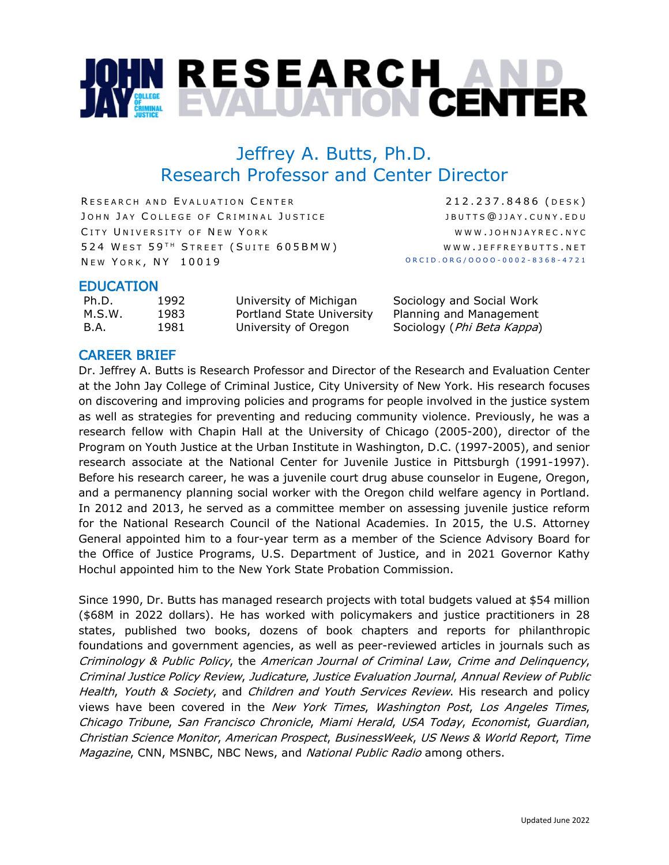# **OHN RESEARCH<br>AY EVALUATION CENTER**

# Jeffrey A. Butts, Ph.D. Research Professor and Center Director

RESEARCH AND EVALUATION CENTER JOHN JAY COLLEGE OF CRIMINAL JUSTICE CITY UNIVERSITY OF NEW YORK 524 WEST 59TH STREET (SUITE 605BMW) NEW YORK, NY 10019

212 . 237 . 8486 ( DESK ) JBUTTS @ JJAY . CUNY . EDU WWW.JOHNJAYREC.NYC WWW . JEFFREY BUTTS . NET ORCID.ORG/OOOO - 0002 - 8368 - 4721

# EDUCATION

Ph.D. 1992 University of Michigan Sociology and Social Work M.S.W. 1983 Portland State University Planning and Management B.A. 1981 University of Oregon Sociology (Phi Beta Kappa)

# CAREER BRIEF

Dr. Jeffrey A. Butts is Research Professor and Director of the Research and Evaluation Center at the John Jay College of Criminal Justice, City University of New York. His research focuses on discovering and improving policies and programs for people involved in the justice system as well as strategies for preventing and reducing community violence. Previously, he was a research fellow with Chapin Hall at the University of Chicago (2005-200), director of the Program on Youth Justice at the Urban Institute in Washington, D.C. (1997-2005), and senior research associate at the National Center for Juvenile Justice in Pittsburgh (1991-1997). Before his research career, he was a juvenile court drug abuse counselor in Eugene, Oregon, and a permanency planning social worker with the Oregon child welfare agency in Portland. In 2012 and 2013, he served as a committee member on assessing juvenile justice reform for the National Research Council of the National Academies. In 2015, the U.S. Attorney General appointed him to a four-year term as a member of the Science Advisory Board for the Office of Justice Programs, U.S. Department of Justice, and in 2021 Governor Kathy Hochul appointed him to the New York State Probation Commission.

Since 1990, Dr. Butts has managed research projects with total budgets valued at \$54 million (\$68M in 2022 dollars). He has worked with policymakers and justice practitioners in 28 states, published two books, dozens of book chapters and reports for philanthropic foundations and government agencies, as well as peer-reviewed articles in journals such as Criminology & Public Policy, the American Journal of Criminal Law, Crime and Delinquency, Criminal Justice Policy Review, Judicature, Justice Evaluation Journal, Annual Review of Public Health, Youth & Society, and Children and Youth Services Review. His research and policy views have been covered in the New York Times, Washington Post, Los Angeles Times, Chicago Tribune, San Francisco Chronicle, Miami Herald, USA Today, Economist, Guardian, Christian Science Monitor, American Prospect, BusinessWeek, US News & World Report, Time Magazine, CNN, MSNBC, NBC News, and National Public Radio among others.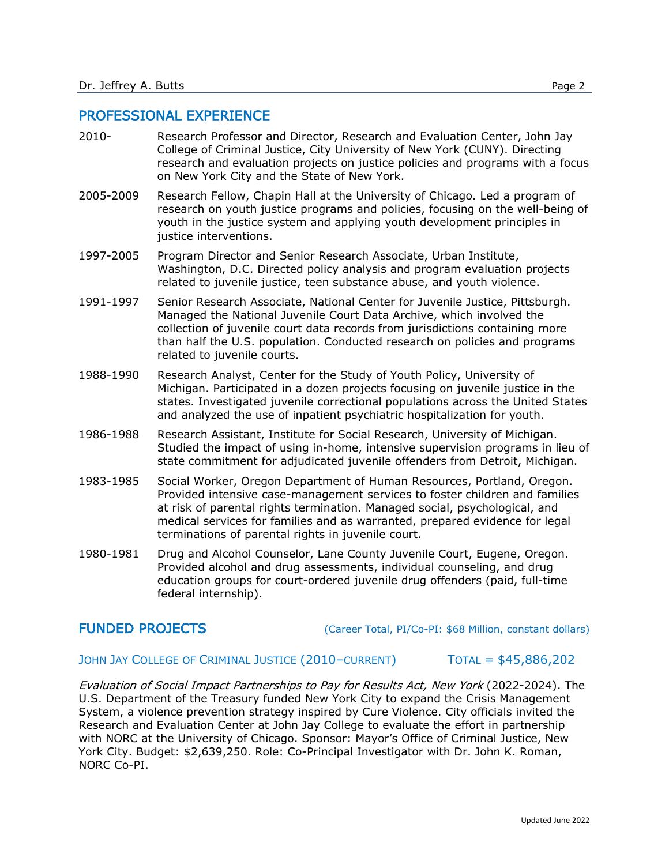#### PROFESSIONAL EXPERIENCE

- 2010- Research Professor and Director, Research and Evaluation Center, John Jay College of Criminal Justice, City University of New York (CUNY). Directing research and evaluation projects on justice policies and programs with a focus on New York City and the State of New York.
- 2005-2009 Research Fellow, Chapin Hall at the University of Chicago. Led a program of research on youth justice programs and policies, focusing on the well-being of youth in the justice system and applying youth development principles in justice interventions.
- 1997-2005 Program Director and Senior Research Associate, Urban Institute, Washington, D.C. Directed policy analysis and program evaluation projects related to juvenile justice, teen substance abuse, and youth violence.
- 1991-1997 Senior Research Associate, National Center for Juvenile Justice, Pittsburgh. Managed the National Juvenile Court Data Archive, which involved the collection of juvenile court data records from jurisdictions containing more than half the U.S. population. Conducted research on policies and programs related to juvenile courts.
- 1988-1990 Research Analyst, Center for the Study of Youth Policy, University of Michigan. Participated in a dozen projects focusing on juvenile justice in the states. Investigated juvenile correctional populations across the United States and analyzed the use of inpatient psychiatric hospitalization for youth.
- 1986-1988 Research Assistant, Institute for Social Research, University of Michigan. Studied the impact of using in-home, intensive supervision programs in lieu of state commitment for adjudicated juvenile offenders from Detroit, Michigan.
- 1983-1985 Social Worker, Oregon Department of Human Resources, Portland, Oregon. Provided intensive case-management services to foster children and families at risk of parental rights termination. Managed social, psychological, and medical services for families and as warranted, prepared evidence for legal terminations of parental rights in juvenile court.
- 1980-1981 Drug and Alcohol Counselor, Lane County Juvenile Court, Eugene, Oregon. Provided alcohol and drug assessments, individual counseling, and drug education groups for court-ordered juvenile drug offenders (paid, full-time federal internship).

FUNDED PROJECTS (Career Total, PI/Co-PI: \$68 Million, constant dollars)

#### JOHN JAY COLLEGE OF CRIMINAL JUSTICE (2010–CURRENT) TOTAL = \$45,886,202

Evaluation of Social Impact Partnerships to Pay for Results Act, New York (2022-2024). The U.S. Department of the Treasury funded New York City to expand the Crisis Management System, a violence prevention strategy inspired by Cure Violence. City officials invited the Research and Evaluation Center at John Jay College to evaluate the effort in partnership with NORC at the University of Chicago. Sponsor: Mayor's Office of Criminal Justice, New York City. Budget: \$2,639,250. Role: Co-Principal Investigator with Dr. John K. Roman, NORC Co-PI.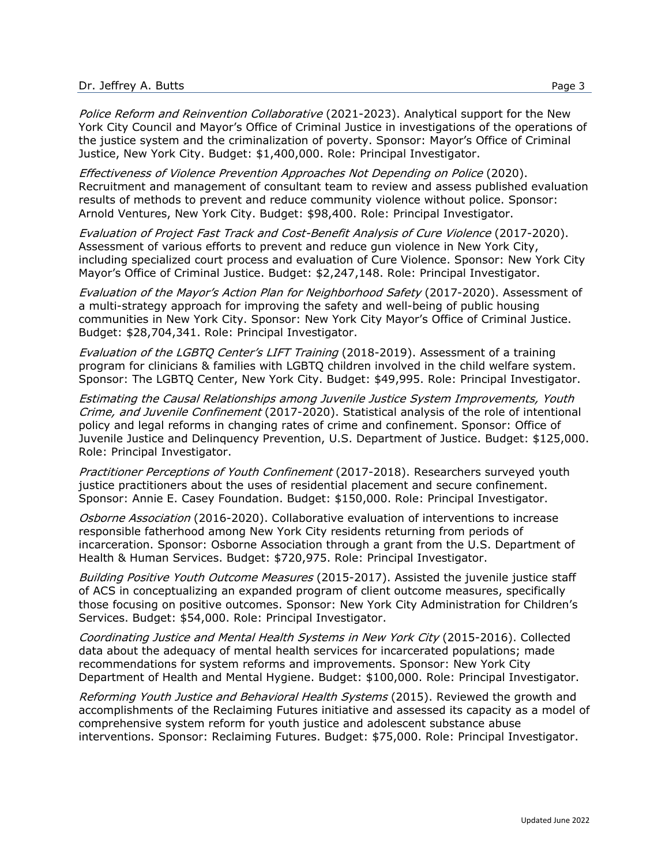Police Reform and Reinvention Collaborative (2021-2023). Analytical support for the New York City Council and Mayor's Office of Criminal Justice in investigations of the operations of the justice system and the criminalization of poverty. Sponsor: Mayor's Office of Criminal Justice, New York City. Budget: \$1,400,000. Role: Principal Investigator.

Effectiveness of Violence Prevention Approaches Not Depending on Police (2020). Recruitment and management of consultant team to review and assess published evaluation results of methods to prevent and reduce community violence without police. Sponsor: Arnold Ventures, New York City. Budget: \$98,400. Role: Principal Investigator.

Evaluation of Project Fast Track and Cost-Benefit Analysis of Cure Violence (2017-2020). Assessment of various efforts to prevent and reduce gun violence in New York City, including specialized court process and evaluation of Cure Violence. Sponsor: New York City Mayor's Office of Criminal Justice. Budget: \$2,247,148. Role: Principal Investigator.

Evaluation of the Mayor's Action Plan for Neighborhood Safety (2017-2020). Assessment of a multi-strategy approach for improving the safety and well-being of public housing communities in New York City. Sponsor: New York City Mayor's Office of Criminal Justice. Budget: \$28,704,341. Role: Principal Investigator.

Evaluation of the LGBTQ Center's LIFT Training (2018-2019). Assessment of a training program for clinicians & families with LGBTQ children involved in the child welfare system. Sponsor: The LGBTQ Center, New York City. Budget: \$49,995. Role: Principal Investigator.

Estimating the Causal Relationships among Juvenile Justice System Improvements, Youth Crime, and Juvenile Confinement (2017-2020). Statistical analysis of the role of intentional policy and legal reforms in changing rates of crime and confinement. Sponsor: Office of Juvenile Justice and Delinquency Prevention, U.S. Department of Justice. Budget: \$125,000. Role: Principal Investigator.

Practitioner Perceptions of Youth Confinement (2017-2018). Researchers surveyed youth justice practitioners about the uses of residential placement and secure confinement. Sponsor: Annie E. Casey Foundation. Budget: \$150,000. Role: Principal Investigator.

Osborne Association (2016-2020). Collaborative evaluation of interventions to increase responsible fatherhood among New York City residents returning from periods of incarceration. Sponsor: Osborne Association through a grant from the U.S. Department of Health & Human Services. Budget: \$720,975. Role: Principal Investigator.

Building Positive Youth Outcome Measures (2015-2017). Assisted the juvenile justice staff of ACS in conceptualizing an expanded program of client outcome measures, specifically those focusing on positive outcomes. Sponsor: New York City Administration for Children's Services. Budget: \$54,000. Role: Principal Investigator.

Coordinating Justice and Mental Health Systems in New York City (2015-2016). Collected data about the adequacy of mental health services for incarcerated populations; made recommendations for system reforms and improvements. Sponsor: New York City Department of Health and Mental Hygiene. Budget: \$100,000. Role: Principal Investigator.

Reforming Youth Justice and Behavioral Health Systems (2015). Reviewed the growth and accomplishments of the Reclaiming Futures initiative and assessed its capacity as a model of comprehensive system reform for youth justice and adolescent substance abuse interventions. Sponsor: Reclaiming Futures. Budget: \$75,000. Role: Principal Investigator.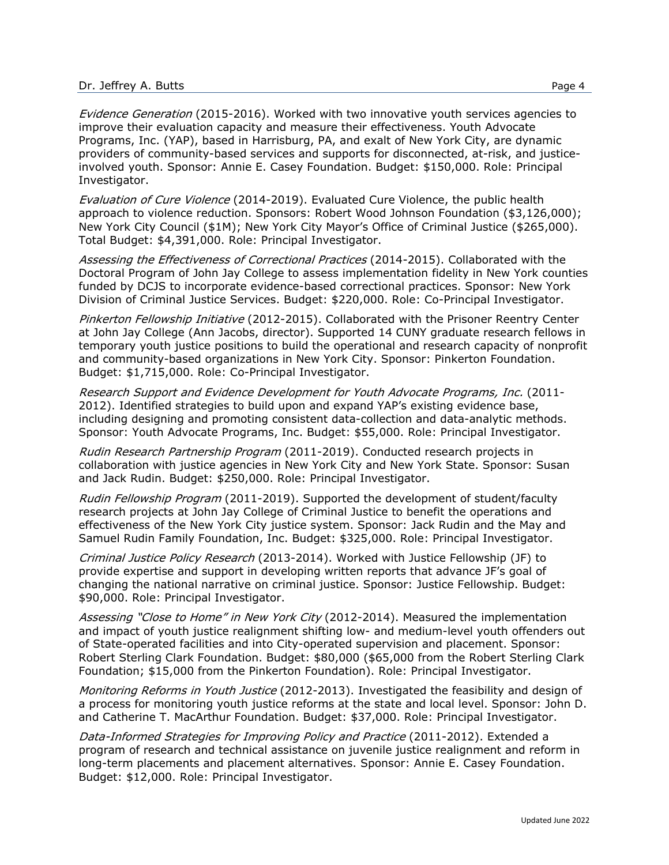Evidence Generation (2015-2016). Worked with two innovative youth services agencies to improve their evaluation capacity and measure their effectiveness. Youth Advocate Programs, Inc. (YAP), based in Harrisburg, PA, and exalt of New York City, are dynamic providers of community-based services and supports for disconnected, at-risk, and justiceinvolved youth. Sponsor: Annie E. Casey Foundation. Budget: \$150,000. Role: Principal Investigator.

Evaluation of Cure Violence (2014-2019). Evaluated Cure Violence, the public health approach to violence reduction. Sponsors: Robert Wood Johnson Foundation (\$3,126,000); New York City Council (\$1M); New York City Mayor's Office of Criminal Justice (\$265,000). Total Budget: \$4,391,000. Role: Principal Investigator.

Assessing the Effectiveness of Correctional Practices (2014-2015). Collaborated with the Doctoral Program of John Jay College to assess implementation fidelity in New York counties funded by DCJS to incorporate evidence-based correctional practices. Sponsor: New York Division of Criminal Justice Services. Budget: \$220,000. Role: Co-Principal Investigator.

Pinkerton Fellowship Initiative (2012-2015). Collaborated with the Prisoner Reentry Center at John Jay College (Ann Jacobs, director). Supported 14 CUNY graduate research fellows in temporary youth justice positions to build the operational and research capacity of nonprofit and community-based organizations in New York City. Sponsor: Pinkerton Foundation. Budget: \$1,715,000. Role: Co-Principal Investigator.

Research Support and Evidence Development for Youth Advocate Programs, Inc. (2011- 2012). Identified strategies to build upon and expand YAP's existing evidence base, including designing and promoting consistent data-collection and data-analytic methods. Sponsor: Youth Advocate Programs, Inc. Budget: \$55,000. Role: Principal Investigator.

Rudin Research Partnership Program (2011-2019). Conducted research projects in collaboration with justice agencies in New York City and New York State. Sponsor: Susan and Jack Rudin. Budget: \$250,000. Role: Principal Investigator.

Rudin Fellowship Program (2011-2019). Supported the development of student/faculty research projects at John Jay College of Criminal Justice to benefit the operations and effectiveness of the New York City justice system. Sponsor: Jack Rudin and the May and Samuel Rudin Family Foundation, Inc. Budget: \$325,000. Role: Principal Investigator.

Criminal Justice Policy Research (2013-2014). Worked with Justice Fellowship (JF) to provide expertise and support in developing written reports that advance JF's goal of changing the national narrative on criminal justice. Sponsor: Justice Fellowship. Budget: \$90,000. Role: Principal Investigator.

Assessing "Close to Home" in New York City (2012-2014). Measured the implementation and impact of youth justice realignment shifting low- and medium-level youth offenders out of State-operated facilities and into City-operated supervision and placement. Sponsor: Robert Sterling Clark Foundation. Budget: \$80,000 (\$65,000 from the Robert Sterling Clark Foundation; \$15,000 from the Pinkerton Foundation). Role: Principal Investigator.

Monitoring Reforms in Youth Justice (2012-2013). Investigated the feasibility and design of a process for monitoring youth justice reforms at the state and local level. Sponsor: John D. and Catherine T. MacArthur Foundation. Budget: \$37,000. Role: Principal Investigator.

Data-Informed Strategies for Improving Policy and Practice (2011-2012). Extended a program of research and technical assistance on juvenile justice realignment and reform in long-term placements and placement alternatives. Sponsor: Annie E. Casey Foundation. Budget: \$12,000. Role: Principal Investigator.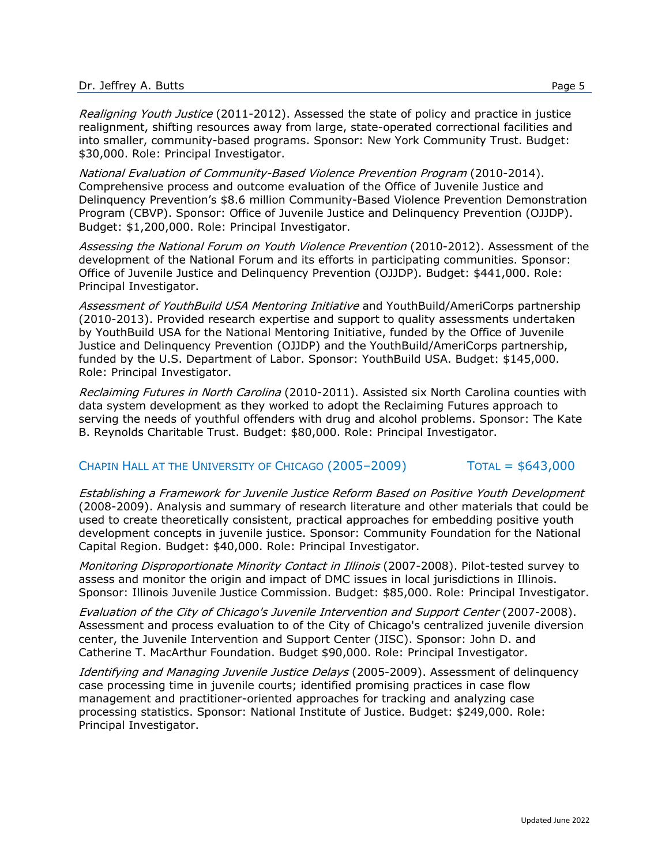Realigning Youth Justice (2011-2012). Assessed the state of policy and practice in justice realignment, shifting resources away from large, state-operated correctional facilities and into smaller, community-based programs. Sponsor: New York Community Trust. Budget: \$30,000. Role: Principal Investigator.

National Evaluation of Community-Based Violence Prevention Program (2010-2014). Comprehensive process and outcome evaluation of the Office of Juvenile Justice and Delinquency Prevention's \$8.6 million Community-Based Violence Prevention Demonstration Program (CBVP). Sponsor: Office of Juvenile Justice and Delinquency Prevention (OJJDP). Budget: \$1,200,000. Role: Principal Investigator.

Assessing the National Forum on Youth Violence Prevention (2010-2012). Assessment of the development of the National Forum and its efforts in participating communities. Sponsor: Office of Juvenile Justice and Delinquency Prevention (OJJDP). Budget: \$441,000. Role: Principal Investigator.

Assessment of YouthBuild USA Mentoring Initiative and YouthBuild/AmeriCorps partnership (2010-2013). Provided research expertise and support to quality assessments undertaken by YouthBuild USA for the National Mentoring Initiative, funded by the Office of Juvenile Justice and Delinquency Prevention (OJJDP) and the YouthBuild/AmeriCorps partnership, funded by the U.S. Department of Labor. Sponsor: YouthBuild USA. Budget: \$145,000. Role: Principal Investigator.

Reclaiming Futures in North Carolina (2010-2011). Assisted six North Carolina counties with data system development as they worked to adopt the Reclaiming Futures approach to serving the needs of youthful offenders with drug and alcohol problems. Sponsor: The Kate B. Reynolds Charitable Trust. Budget: \$80,000. Role: Principal Investigator.

## CHAPIN HALL AT THE UNIVERSITY OF CHICAGO (2005–2009) TOTAL = \$643,000

Establishing a Framework for Juvenile Justice Reform Based on Positive Youth Development (2008-2009). Analysis and summary of research literature and other materials that could be used to create theoretically consistent, practical approaches for embedding positive youth development concepts in juvenile justice. Sponsor: Community Foundation for the National Capital Region. Budget: \$40,000. Role: Principal Investigator.

Monitoring Disproportionate Minority Contact in Illinois (2007-2008). Pilot-tested survey to assess and monitor the origin and impact of DMC issues in local jurisdictions in Illinois. Sponsor: Illinois Juvenile Justice Commission. Budget: \$85,000. Role: Principal Investigator.

Evaluation of the City of Chicago's Juvenile Intervention and Support Center (2007-2008). Assessment and process evaluation to of the City of Chicago's centralized juvenile diversion center, the Juvenile Intervention and Support Center (JISC). Sponsor: John D. and Catherine T. MacArthur Foundation. Budget \$90,000. Role: Principal Investigator.

Identifying and Managing Juvenile Justice Delays (2005-2009). Assessment of delinquency case processing time in juvenile courts; identified promising practices in case flow management and practitioner-oriented approaches for tracking and analyzing case processing statistics. Sponsor: National Institute of Justice. Budget: \$249,000. Role: Principal Investigator.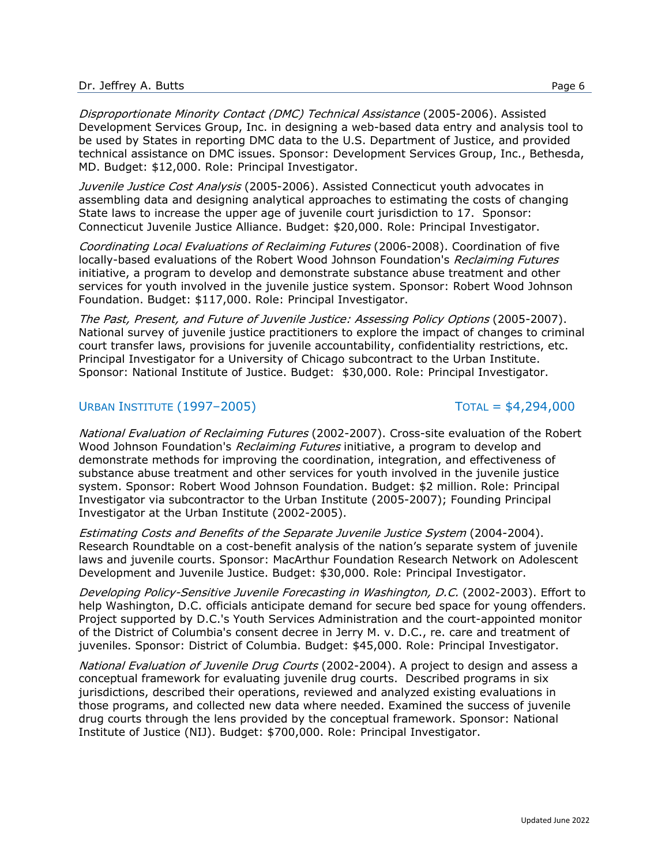Disproportionate Minority Contact (DMC) Technical Assistance (2005-2006). Assisted Development Services Group, Inc. in designing a web-based data entry and analysis tool to be used by States in reporting DMC data to the U.S. Department of Justice, and provided technical assistance on DMC issues. Sponsor: Development Services Group, Inc., Bethesda, MD. Budget: \$12,000. Role: Principal Investigator.

Juvenile Justice Cost Analysis (2005-2006). Assisted Connecticut youth advocates in assembling data and designing analytical approaches to estimating the costs of changing State laws to increase the upper age of juvenile court jurisdiction to 17. Sponsor: Connecticut Juvenile Justice Alliance. Budget: \$20,000. Role: Principal Investigator.

Coordinating Local Evaluations of Reclaiming Futures (2006-2008). Coordination of five locally-based evaluations of the Robert Wood Johnson Foundation's *Reclaiming Futures* initiative, a program to develop and demonstrate substance abuse treatment and other services for youth involved in the juvenile justice system. Sponsor: Robert Wood Johnson Foundation. Budget: \$117,000. Role: Principal Investigator.

The Past, Present, and Future of Juvenile Justice: Assessing Policy Options (2005-2007). National survey of juvenile justice practitioners to explore the impact of changes to criminal court transfer laws, provisions for juvenile accountability, confidentiality restrictions, etc. Principal Investigator for a University of Chicago subcontract to the Urban Institute. Sponsor: National Institute of Justice. Budget: \$30,000. Role: Principal Investigator.

# URBAN INSTITUTE (1997–2005) TOTAL = \$4,294,000

National Evaluation of Reclaiming Futures (2002-2007). Cross-site evaluation of the Robert Wood Johnson Foundation's *Reclaiming Futures* initiative, a program to develop and demonstrate methods for improving the coordination, integration, and effectiveness of substance abuse treatment and other services for youth involved in the juvenile justice system. Sponsor: Robert Wood Johnson Foundation. Budget: \$2 million. Role: Principal Investigator via subcontractor to the Urban Institute (2005-2007); Founding Principal Investigator at the Urban Institute (2002-2005).

Estimating Costs and Benefits of the Separate Juvenile Justice System (2004-2004). Research Roundtable on a cost-benefit analysis of the nation's separate system of juvenile laws and juvenile courts. Sponsor: MacArthur Foundation Research Network on Adolescent Development and Juvenile Justice. Budget: \$30,000. Role: Principal Investigator.

Developing Policy-Sensitive Juvenile Forecasting in Washington, D.C. (2002-2003). Effort to help Washington, D.C. officials anticipate demand for secure bed space for young offenders. Project supported by D.C.'s Youth Services Administration and the court-appointed monitor of the District of Columbia's consent decree in Jerry M. v. D.C., re. care and treatment of juveniles. Sponsor: District of Columbia. Budget: \$45,000. Role: Principal Investigator.

National Evaluation of Juvenile Drug Courts (2002-2004). A project to design and assess a conceptual framework for evaluating juvenile drug courts. Described programs in six jurisdictions, described their operations, reviewed and analyzed existing evaluations in those programs, and collected new data where needed. Examined the success of juvenile drug courts through the lens provided by the conceptual framework. Sponsor: National Institute of Justice (NIJ). Budget: \$700,000. Role: Principal Investigator.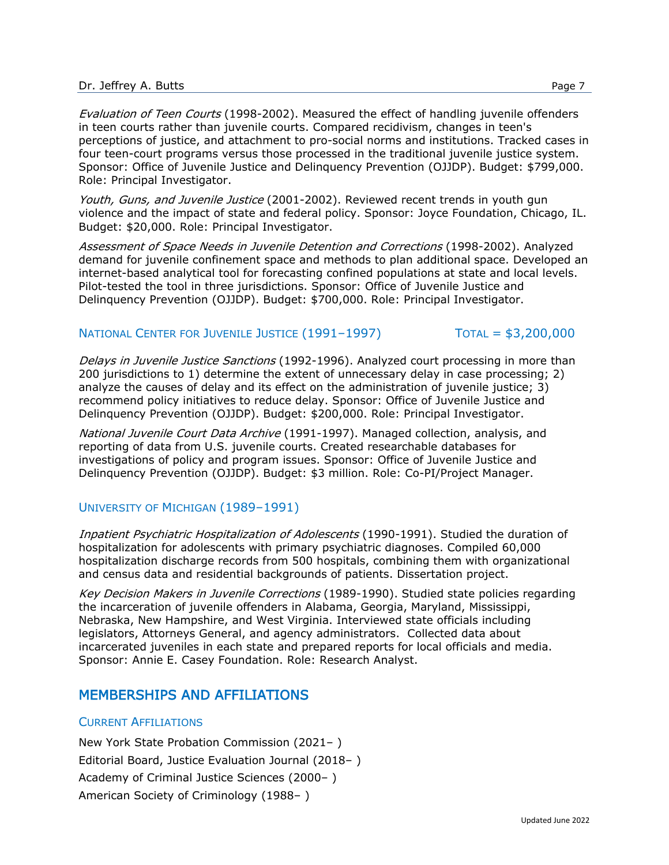Evaluation of Teen Courts (1998-2002). Measured the effect of handling juvenile offenders in teen courts rather than juvenile courts. Compared recidivism, changes in teen's perceptions of justice, and attachment to pro-social norms and institutions. Tracked cases in four teen-court programs versus those processed in the traditional juvenile justice system. Sponsor: Office of Juvenile Justice and Delinquency Prevention (OJJDP). Budget: \$799,000. Role: Principal Investigator.

Youth, Guns, and Juvenile Justice (2001-2002). Reviewed recent trends in youth gun violence and the impact of state and federal policy. Sponsor: Joyce Foundation, Chicago, IL. Budget: \$20,000. Role: Principal Investigator.

Assessment of Space Needs in Juvenile Detention and Corrections (1998-2002). Analyzed demand for juvenile confinement space and methods to plan additional space. Developed an internet-based analytical tool for forecasting confined populations at state and local levels. Pilot-tested the tool in three jurisdictions. Sponsor: Office of Juvenile Justice and Delinquency Prevention (OJJDP). Budget: \$700,000. Role: Principal Investigator.

# NATIONAL CENTER FOR JUVENILE JUSTICE (1991-1997) TOTAL = \$3,200,000

Delays in Juvenile Justice Sanctions (1992-1996). Analyzed court processing in more than 200 jurisdictions to 1) determine the extent of unnecessary delay in case processing; 2) analyze the causes of delay and its effect on the administration of juvenile justice; 3) recommend policy initiatives to reduce delay. Sponsor: Office of Juvenile Justice and Delinquency Prevention (OJJDP). Budget: \$200,000. Role: Principal Investigator.

National Juvenile Court Data Archive (1991-1997). Managed collection, analysis, and reporting of data from U.S. juvenile courts. Created researchable databases for investigations of policy and program issues. Sponsor: Office of Juvenile Justice and Delinquency Prevention (OJJDP). Budget: \$3 million. Role: Co-PI/Project Manager.

## UNIVERSITY OF MICHIGAN (1989–1991)

Inpatient Psychiatric Hospitalization of Adolescents (1990-1991). Studied the duration of hospitalization for adolescents with primary psychiatric diagnoses. Compiled 60,000 hospitalization discharge records from 500 hospitals, combining them with organizational and census data and residential backgrounds of patients. Dissertation project.

Key Decision Makers in Juvenile Corrections (1989-1990). Studied state policies regarding the incarceration of juvenile offenders in Alabama, Georgia, Maryland, Mississippi, Nebraska, New Hampshire, and West Virginia. Interviewed state officials including legislators, Attorneys General, and agency administrators. Collected data about incarcerated juveniles in each state and prepared reports for local officials and media. Sponsor: Annie E. Casey Foundation. Role: Research Analyst.

# MEMBERSHIPS AND AFFILIATIONS

## CURRENT AFFILIATIONS

New York State Probation Commission (2021– ) Editorial Board, Justice Evaluation Journal (2018– ) Academy of Criminal Justice Sciences (2000– ) American Society of Criminology (1988– )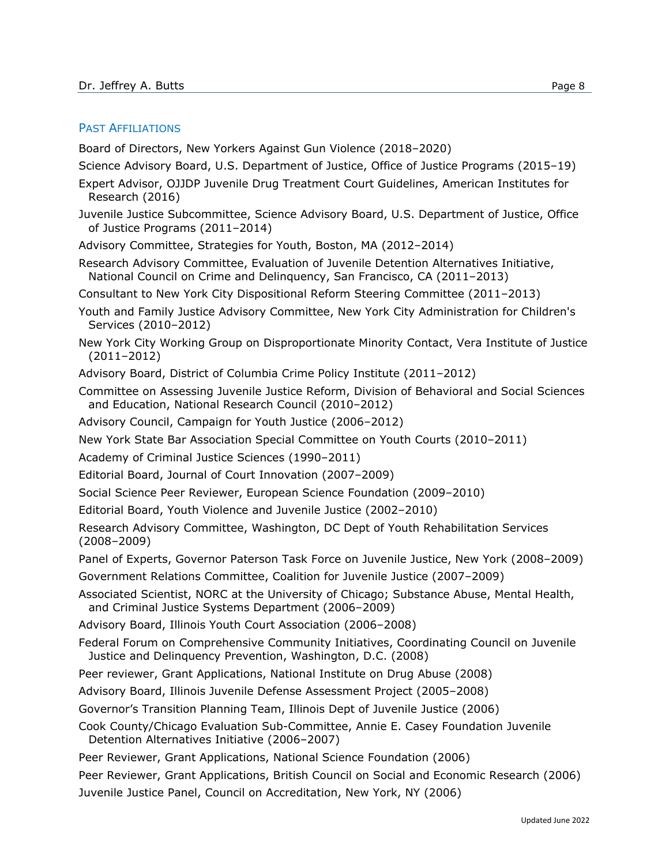#### PAST AFFILIATIONS

Board of Directors, New Yorkers Against Gun Violence (2018–2020)

- Science Advisory Board, U.S. Department of Justice, Office of Justice Programs (2015–19)
- Expert Advisor, OJJDP Juvenile Drug Treatment Court Guidelines, American Institutes for Research (2016)
- Juvenile Justice Subcommittee, Science Advisory Board, U.S. Department of Justice, Office of Justice Programs (2011–2014)
- Advisory Committee, Strategies for Youth, Boston, MA (2012–2014)
- Research Advisory Committee, Evaluation of Juvenile Detention Alternatives Initiative, National Council on Crime and Delinquency, San Francisco, CA (2011–2013)
- Consultant to New York City Dispositional Reform Steering Committee (2011–2013)
- Youth and Family Justice Advisory Committee, New York City Administration for Children's Services (2010–2012)
- New York City Working Group on Disproportionate Minority Contact, Vera Institute of Justice (2011–2012)
- Advisory Board, District of Columbia Crime Policy Institute (2011–2012)
- Committee on Assessing Juvenile Justice Reform, Division of Behavioral and Social Sciences and Education, National Research Council (2010–2012)
- Advisory Council, Campaign for Youth Justice (2006–2012)
- New York State Bar Association Special Committee on Youth Courts (2010–2011)
- Academy of Criminal Justice Sciences (1990–2011)
- Editorial Board, Journal of Court Innovation (2007–2009)
- Social Science Peer Reviewer, European Science Foundation (2009–2010)
- Editorial Board, Youth Violence and Juvenile Justice (2002–2010)
- Research Advisory Committee, Washington, DC Dept of Youth Rehabilitation Services (2008–2009)
- Panel of Experts, Governor Paterson Task Force on Juvenile Justice, New York (2008–2009)
- Government Relations Committee, Coalition for Juvenile Justice (2007–2009)
- Associated Scientist, NORC at the University of Chicago; Substance Abuse, Mental Health, and Criminal Justice Systems Department (2006–2009)
- Advisory Board, Illinois Youth Court Association (2006–2008)
- Federal Forum on Comprehensive Community Initiatives, Coordinating Council on Juvenile Justice and Delinquency Prevention, Washington, D.C. (2008)
- Peer reviewer, Grant Applications, National Institute on Drug Abuse (2008)
- Advisory Board, Illinois Juvenile Defense Assessment Project (2005–2008)
- Governor's Transition Planning Team, Illinois Dept of Juvenile Justice (2006)
- Cook County/Chicago Evaluation Sub-Committee, Annie E. Casey Foundation Juvenile Detention Alternatives Initiative (2006–2007)
- Peer Reviewer, Grant Applications, National Science Foundation (2006)
- Peer Reviewer, Grant Applications, British Council on Social and Economic Research (2006) Juvenile Justice Panel, Council on Accreditation, New York, NY (2006)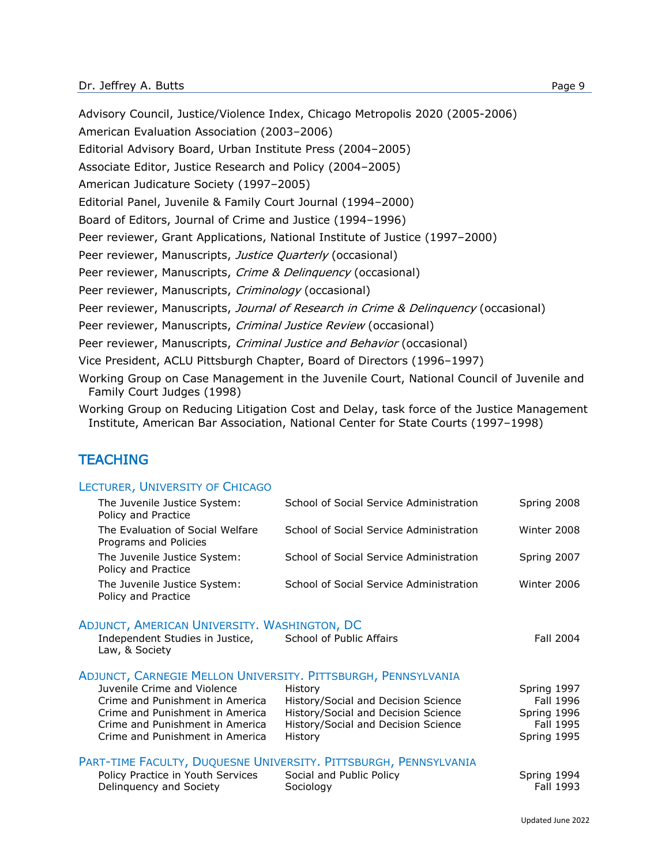Advisory Council, Justice/Violence Index, Chicago Metropolis 2020 (2005-2006) American Evaluation Association (2003–2006) Editorial Advisory Board, Urban Institute Press (2004–2005) Associate Editor, Justice Research and Policy (2004–2005) American Judicature Society (1997–2005) Editorial Panel, Juvenile & Family Court Journal (1994–2000) Board of Editors, Journal of Crime and Justice (1994–1996) Peer reviewer, Grant Applications, National Institute of Justice (1997–2000) Peer reviewer, Manuscripts, Justice Quarterly (occasional) Peer reviewer, Manuscripts, Crime & Delinquency (occasional) Peer reviewer, Manuscripts, Criminology (occasional) Peer reviewer, Manuscripts, Journal of Research in Crime & Delinquency (occasional) Peer reviewer, Manuscripts, Criminal Justice Review (occasional) Peer reviewer, Manuscripts, Criminal Justice and Behavior (occasional) Vice President, ACLU Pittsburgh Chapter, Board of Directors (1996–1997) Working Group on Case Management in the Juvenile Court, National Council of Juvenile and Family Court Judges (1998)

Working Group on Reducing Litigation Cost and Delay, task force of the Justice Management Institute, American Bar Association, National Center for State Courts (1997–1998)

# **TEACHING**

#### LECTURER, UNIVERSITY OF CHICAGO

| The Juvenile Justice System:<br>Policy and Practice       | School of Social Service Administration | Spring 2008 |
|-----------------------------------------------------------|-----------------------------------------|-------------|
| The Evaluation of Social Welfare<br>Programs and Policies | School of Social Service Administration | Winter 2008 |
| The Juvenile Justice System:<br>Policy and Practice       | School of Social Service Administration | Spring 2007 |
| The Juvenile Justice System:<br>Policy and Practice       | School of Social Service Administration | Winter 2006 |
|                                                           |                                         |             |

#### ADJUNCT, AMERICAN UNIVERSITY. WASHINGTON, DC

| Independent Studies in Justice,<br>Law, & Society             | School of Public Affairs                                         | Fall 2004   |
|---------------------------------------------------------------|------------------------------------------------------------------|-------------|
| ADJUNCT, CARNEGIE MELLON UNIVERSITY. PITTSBURGH, PENNSYLVANIA |                                                                  |             |
| Juvenile Crime and Violence                                   | History                                                          | Spring 1997 |
| Crime and Punishment in America                               | History/Social and Decision Science                              | Fall 1996   |
| Crime and Punishment in America                               | History/Social and Decision Science                              | Spring 1996 |
| Crime and Punishment in America                               | History/Social and Decision Science                              | Fall 1995   |
| Crime and Punishment in America                               | History                                                          | Spring 1995 |
|                                                               |                                                                  |             |
|                                                               | PART-TIME FACULTY, DUQUESNE UNIVERSITY. PITTSBURGH, PENNSYLVANIA |             |

| Policy Practice in Youth Services | Social and Public Policy | Spring 1994      |
|-----------------------------------|--------------------------|------------------|
| Delinguency and Society           | Sociology                | <b>Fall 1993</b> |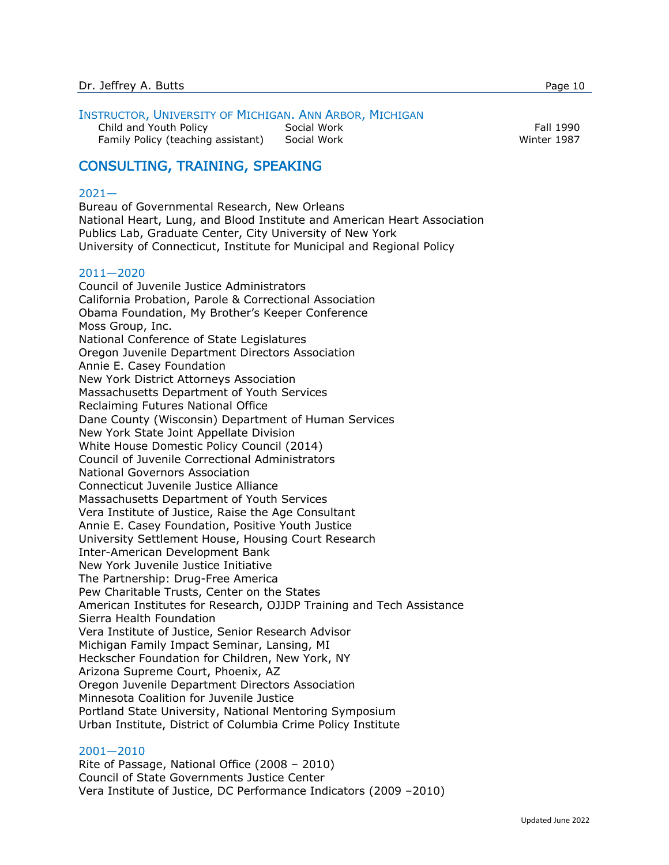#### INSTRUCTOR, UNIVERSITY OF MICHIGAN. ANN ARBOR, MICHIGAN

Child and Youth Policy **Social Work** Fall 1990 Family Policy (teaching assistant) Social Work Winter 1987

# CONSULTING, TRAINING, SPEAKING

#### 2021—

Bureau of Governmental Research, New Orleans National Heart, Lung, and Blood Institute and American Heart Association Publics Lab, Graduate Center, City University of New York University of Connecticut, Institute for Municipal and Regional Policy

#### 2011—2020

Council of Juvenile Justice Administrators California Probation, Parole & Correctional Association Obama Foundation, My Brother's Keeper Conference Moss Group, Inc. National Conference of State Legislatures Oregon Juvenile Department Directors Association Annie E. Casey Foundation New York District Attorneys Association Massachusetts Department of Youth Services Reclaiming Futures National Office Dane County (Wisconsin) Department of Human Services New York State Joint Appellate Division White House Domestic Policy Council (2014) Council of Juvenile Correctional Administrators National Governors Association Connecticut Juvenile Justice Alliance Massachusetts Department of Youth Services Vera Institute of Justice, Raise the Age Consultant Annie E. Casey Foundation, Positive Youth Justice University Settlement House, Housing Court Research Inter-American Development Bank New York Juvenile Justice Initiative The Partnership: Drug-Free America Pew Charitable Trusts, Center on the States American Institutes for Research, OJJDP Training and Tech Assistance Sierra Health Foundation Vera Institute of Justice, Senior Research Advisor Michigan Family Impact Seminar, Lansing, MI Heckscher Foundation for Children, New York, NY Arizona Supreme Court, Phoenix, AZ Oregon Juvenile Department Directors Association Minnesota Coalition for Juvenile Justice Portland State University, National Mentoring Symposium Urban Institute, District of Columbia Crime Policy Institute

#### 2001—2010

Rite of Passage, National Office (2008 – 2010) Council of State Governments Justice Center Vera Institute of Justice, DC Performance Indicators (2009 –2010)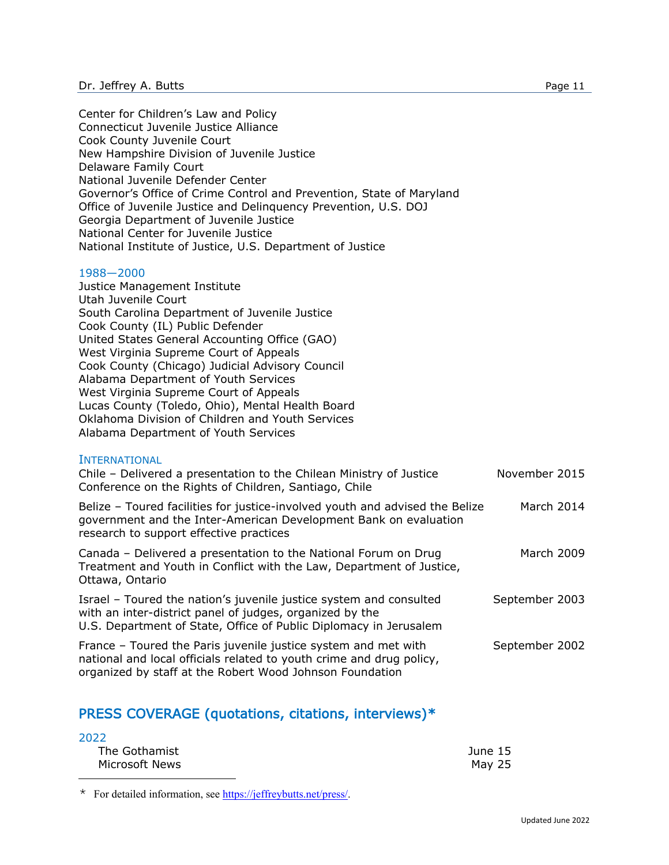Center for Children's Law and Policy Connecticut Juvenile Justice Alliance Cook County Juvenile Court New Hampshire Division of Juvenile Justice Delaware Family Court National Juvenile Defender Center Governor's Office of Crime Control and Prevention, State of Maryland Office of Juvenile Justice and Delinquency Prevention, U.S. DOJ Georgia Department of Juvenile Justice National Center for Juvenile Justice National Institute of Justice, U.S. Department of Justice

#### 1988—2000

Justice Management Institute Utah Juvenile Court South Carolina Department of Juvenile Justice Cook County (IL) Public Defender United States General Accounting Office (GAO) West Virginia Supreme Court of Appeals Cook County (Chicago) Judicial Advisory Council Alabama Department of Youth Services West Virginia Supreme Court of Appeals Lucas County (Toledo, Ohio), Mental Health Board Oklahoma Division of Children and Youth Services Alabama Department of Youth Services

#### **INTERNATIONAL**

| Chile - Delivered a presentation to the Chilean Ministry of Justice<br>Conference on the Rights of Children, Santiago, Chile                                                                        | November 2015  |
|-----------------------------------------------------------------------------------------------------------------------------------------------------------------------------------------------------|----------------|
| Belize - Toured facilities for justice-involved youth and advised the Belize<br>government and the Inter-American Development Bank on evaluation<br>research to support effective practices         | March 2014     |
| Canada - Delivered a presentation to the National Forum on Drug<br>Treatment and Youth in Conflict with the Law, Department of Justice,<br>Ottawa, Ontario                                          | March 2009     |
| Israel - Toured the nation's juvenile justice system and consulted<br>with an inter-district panel of judges, organized by the<br>U.S. Department of State, Office of Public Diplomacy in Jerusalem | September 2003 |
| France – Toured the Paris juvenile justice system and met with<br>national and local officials related to youth crime and drug policy,<br>organized by staff at the Robert Wood Johnson Foundation  | September 2002 |

# PRESS COVERAGE (quotations, citations, interviews)[\\*](#page-10-0)

| 2022           |         |
|----------------|---------|
| The Gothamist  | June 15 |
| Microsoft News | May 25  |

<span id="page-10-0"></span>\* For detailed information, see [https://jeffreybutts.net/press/.](https://jeffreybutts.net/press/)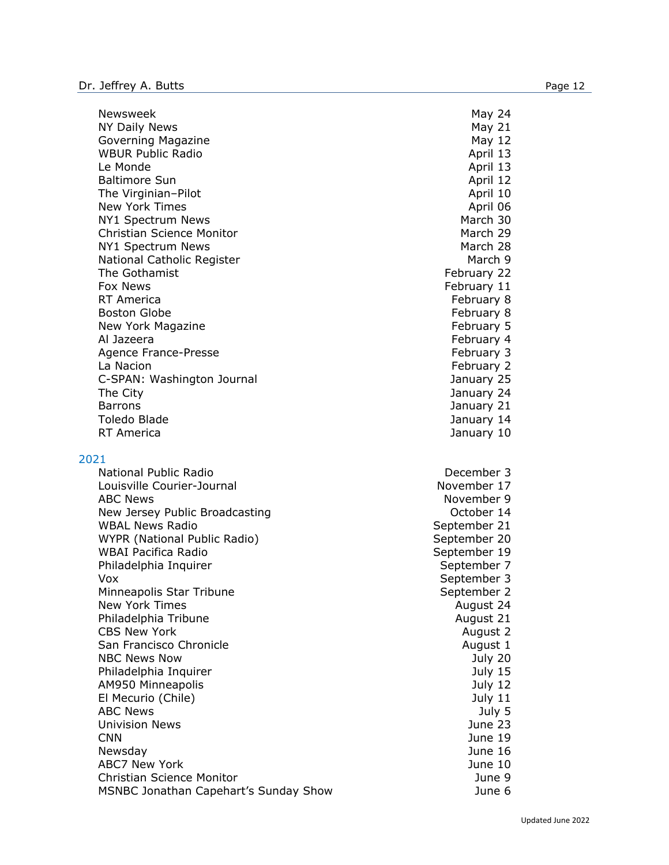Newsweek 24 and 24 and 25 and 26 and 26 and 26 and 26 and 26 and 26 and 26 and 26 and 26 and 26 and 26 and 26 NY Daily News and the second state of the second state of the May 21 and the May 21 Governing Magazine May 12 WBUR Public Radio April 13 Le Monde **April 13** Baltimore Sun **April 12** and April 12 The Virginian–Pilot April 10 New York Times April 06 NY1 Spectrum News and the state of the state of the March 30 Christian Science Monitor March 29 NY1 Spectrum News and the state of the March 28 March 28 National Catholic Register March 9 The Gothamist **February 22** Fox News **February 11** RT America **February 8** Boston Globe **February 8** New York Magazine **February 5** Al Jazeera February 4 Agence France-Presse February 3 La Nacion February 2 C-SPAN: Washington Journal January 25 The City January 24 Barrons January 21 Toledo Blade January 14 RT America January 10

#### 2021

National Public Radio **December 3** Louisville Courier-Journal November 17 ABC News November 9 New Jersey Public Broadcasting New York 14 WBAL News Radio News Radio News Represents a september 21 WYPR (National Public Radio) September 20 WBAI Pacifica Radio New York 19 and the September 19 Philadelphia Inquirer September 7 Vox September 3 Minneapolis Star Tribune September 2 New York Times **August 24** August 24 Philadelphia Tribune **August 21** August 21 CBS New York **August 2** San Francisco Chronicle **August 1** August 1 NBC News Now July 20 Philadelphia Inquirer **Mathematic Structure Community** 15 AM950 Minneapolis July 12 El Mecurio (Chile) July 11 ABC News 3. The set of the set of the set of the set of the set of the set of the set of the set of the set of the set of the set of the set of the set of the set of the set of the set of the set of the set of the set of t Univision News June 23 CNN June 19 Newsday June 16 ABC7 New York June 10 Christian Science Monitor June 9 MSNBC Jonathan Capehart's Sunday Show June 6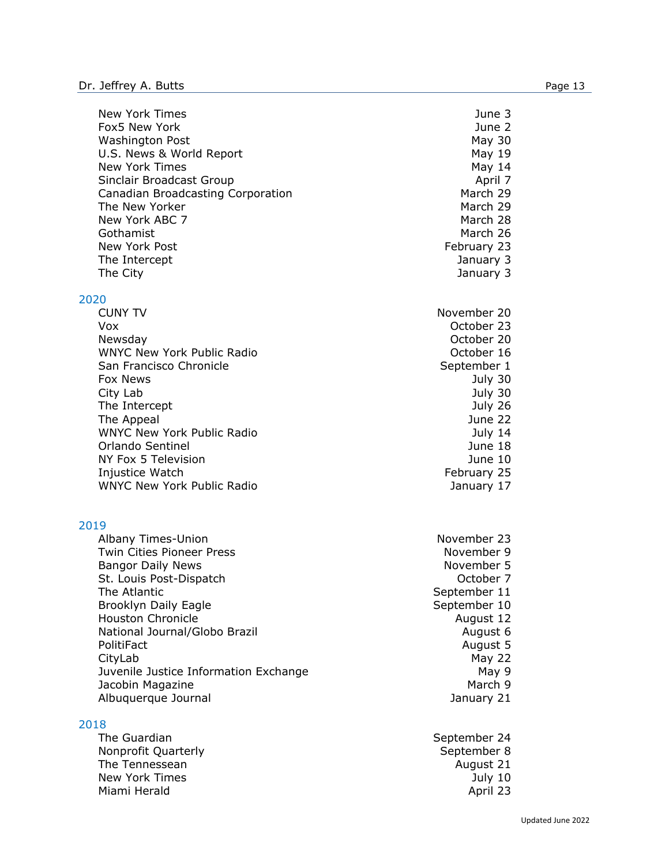New York Times June 3 Fox5 New York June 2 Washington Post **May 30** U.S. News & World Report Nay 19 New York Times and the May 14 Sinclair Broadcast Group **April 7** April 7 Canadian Broadcasting Corporation March 29 The New Yorker March 29 New York ABC 7 March 28 Gothamist March 26 New York Post **February 23** The Intercept **Contract Contract Contract Contract Contract Contract Contract Contract Contract Contract Contract Contract Contract Contract Contract Contract Contract Contract Contract Contract Contract Contract Contract** The City **State City** 3 and 2001 12 and 2008 12 and 2008 12 and 2008 12 and 2008 12 and 2008 12 and 2008 12 and 2008 12 and 2008 12 and 2008 12 and 2008 12 and 2008 12 and 2008 12 and 2008 12 and 2008 12 and 2008 12 and 20

# $2020$

| <b>CUNY IV</b>                    | November 20 |
|-----------------------------------|-------------|
| Vox                               | October 23  |
| Newsday                           | October 20  |
| <b>WNYC New York Public Radio</b> | October 16  |
| San Francisco Chronicle           | September 1 |
| <b>Fox News</b>                   | July 30     |
| City Lab                          | July 30     |
| The Intercept                     | July 26     |
| The Appeal                        | June 22     |
| <b>WNYC New York Public Radio</b> | July 14     |
| Orlando Sentinel                  | June 18     |
| NY Fox 5 Television               | June 10     |
| Injustice Watch                   | February 25 |
| <b>WNYC New York Public Radio</b> | January 17  |

#### 2019

Albany Times-Union November 23 Twin Cities Pioneer Press November 9 Bangor Daily News November 5 St. Louis Post-Dispatch **Communist Communist Communist Communist Communist Communist Communist Communist Communist** The Atlantic **September 11** Brooklyn Daily Eagle September 10 Houston Chronicle **August 12** National Journal/Globo Brazil August 6 PolitiFact August 5 CityLab May 22 Juvenile Justice Information Exchange May 9 Jacobin Magazine March 9 Albuquerque Journal January 21

#### 2018

The Guardian September 24 Nonprofit Quarterly **September 8** September 8 The Tennessean **August 21** and the Tennessean August 21 New York Times **New York Times July 10** Miami Herald **April 23** 

November 20 October 23 October 20 October 16 September 1 February 25 January 17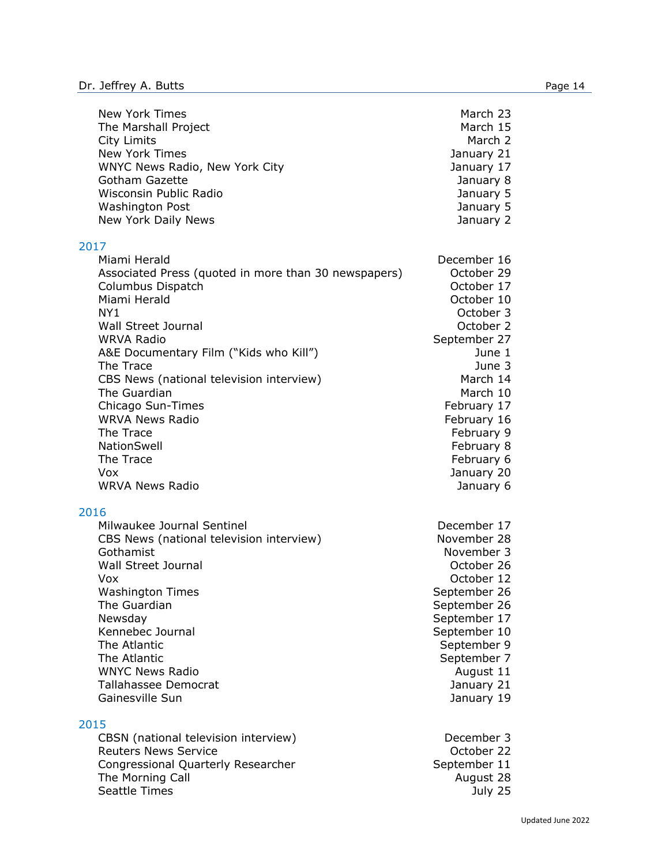2017

2016

2015

| New York Times<br>The Marshall Project<br><b>City Limits</b><br>New York Times<br>WNYC News Radio, New York City<br>Gotham Gazette<br>Wisconsin Public Radio<br><b>Washington Post</b><br>New York Daily News                                                                                                                                                                                                              | March 23<br>March 15<br>March 2<br>January 21<br>January 17<br>January 8<br>January 5<br>January 5<br>January 2                                                                                                                                |
|----------------------------------------------------------------------------------------------------------------------------------------------------------------------------------------------------------------------------------------------------------------------------------------------------------------------------------------------------------------------------------------------------------------------------|------------------------------------------------------------------------------------------------------------------------------------------------------------------------------------------------------------------------------------------------|
| .7<br>Miami Herald<br>Associated Press (quoted in more than 30 newspapers)<br>Columbus Dispatch<br>Miami Herald<br>NY <sub>1</sub><br>Wall Street Journal<br><b>WRVA Radio</b><br>A&E Documentary Film ("Kids who Kill")<br>The Trace<br>CBS News (national television interview)<br>The Guardian<br>Chicago Sun-Times<br><b>WRVA News Radio</b><br>The Trace<br>NationSwell<br>The Trace<br>Vox<br><b>WRVA News Radio</b> | December 16<br>October 29<br>October 17<br>October 10<br>October 3<br>October 2<br>September 27<br>June 1<br>June 3<br>March 14<br>March 10<br>February 17<br>February 16<br>February 9<br>February 8<br>February 6<br>January 20<br>January 6 |
| .6<br>Milwaukee Journal Sentinel<br>CBS News (national television interview)<br>Gothamist<br><b>Wall Street Journal</b><br>Vox<br><b>Washington Times</b><br>The Guardian<br>Newsday<br>Kennebec Journal<br>The Atlantic<br>The Atlantic<br><b>WNYC News Radio</b><br>Tallahassee Democrat<br>Gainesville Sun                                                                                                              | December 17<br>November 28<br>November 3<br>October 26<br>October 12<br>September 26<br>September 26<br>September 17<br>September 10<br>September 9<br>September 7<br>August 11<br>January 21<br>January 19                                    |
| .5<br>CBSN (national television interview)                                                                                                                                                                                                                                                                                                                                                                                 | December 3                                                                                                                                                                                                                                     |

Reuters News Service **Contract Contract Contract Contract Contract Contract Contract Contract Contract Contract Contract Contract Contract Contract Contract Contract Contract Contract Contract Contract Contract Contract Co** Congressional Quarterly Researcher September 11 The Morning Call August 28 Seattle Times **Seattle Times Seattle Times July 25**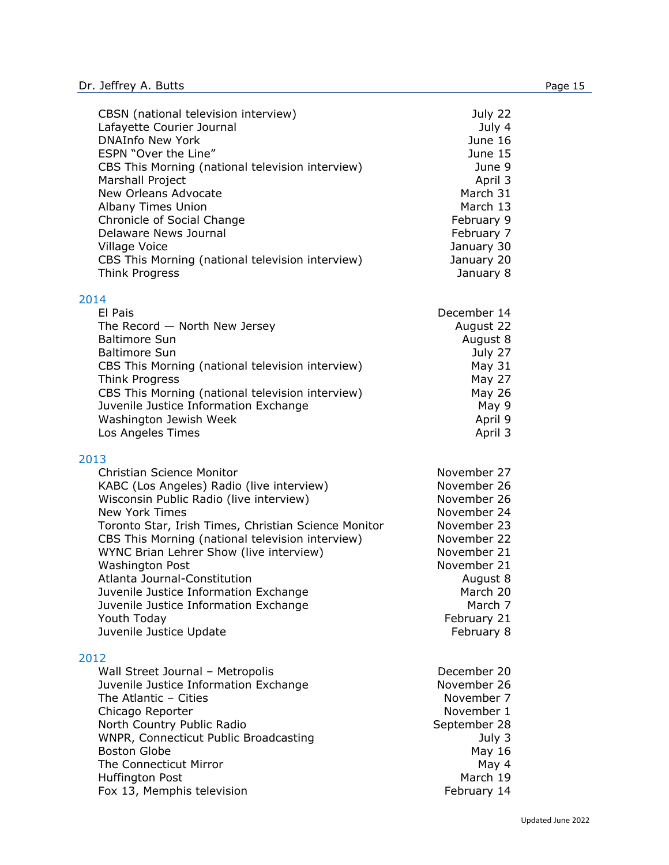| CBSN (national television interview)<br>Lafayette Courier Journal<br><b>DNAInfo New York</b><br>ESPN "Over the Line"<br>CBS This Morning (national television interview)<br>Marshall Project<br>New Orleans Advocate<br>Albany Times Union<br>Chronicle of Social Change<br>Delaware News Journal<br>Village Voice<br>CBS This Morning (national television interview)<br><b>Think Progress</b>                                                                                                        | July 22<br>July 4<br>June 16<br>June 15<br>June 9<br>April 3<br>March 31<br>March 13<br>February 9<br>February 7<br>January 30<br>January 20<br>January 8                            |
|--------------------------------------------------------------------------------------------------------------------------------------------------------------------------------------------------------------------------------------------------------------------------------------------------------------------------------------------------------------------------------------------------------------------------------------------------------------------------------------------------------|--------------------------------------------------------------------------------------------------------------------------------------------------------------------------------------|
| 2014<br>El Pais<br>The Record $-$ North New Jersey<br><b>Baltimore Sun</b><br><b>Baltimore Sun</b><br>CBS This Morning (national television interview)<br>Think Progress<br>CBS This Morning (national television interview)<br>Juvenile Justice Information Exchange<br>Washington Jewish Week<br>Los Angeles Times                                                                                                                                                                                   | December 14<br>August 22<br>August 8<br>July 27<br>May 31<br>May 27<br>May 26<br>May 9<br>April 9<br>April 3                                                                         |
| 2013<br><b>Christian Science Monitor</b><br>KABC (Los Angeles) Radio (live interview)<br>Wisconsin Public Radio (live interview)<br><b>New York Times</b><br>Toronto Star, Irish Times, Christian Science Monitor<br>CBS This Morning (national television interview)<br>WYNC Brian Lehrer Show (live interview)<br><b>Washington Post</b><br>Atlanta Journal-Constitution<br>Juvenile Justice Information Exchange<br>Juvenile Justice Information Exchange<br>Youth Today<br>Juvenile Justice Update | November 27<br>November 26<br>November 26<br>November 24<br>November 23<br>November 22<br>November 21<br>November 21<br>August 8<br>March 20<br>March 7<br>February 21<br>February 8 |
| 2012<br>Wall Street Journal - Metropolis<br>Juvenile Justice Information Exchange<br>The Atlantic - Cities<br>Chicago Reporter<br>North Country Public Radio<br>WNPR, Connecticut Public Broadcasting<br><b>Boston Globe</b><br>The Connecticut Mirror<br>Huffington Post<br>Fox 13, Memphis television                                                                                                                                                                                                | December 20<br>November 26<br>November 7<br>November 1<br>September 28<br>July 3<br>May 16<br>May 4<br>March 19<br>February 14                                                       |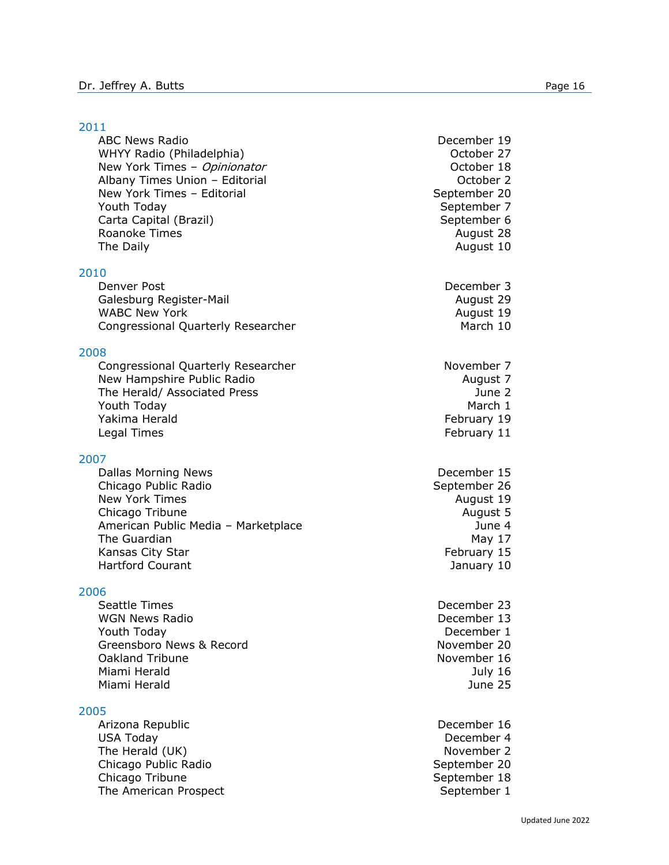#### 2011

ABC News Radio **December 19** WHYY Radio (Philadelphia) and the control of the Corollation of October 27 New York Times - Opinionator Channel Communication Cortober 18 Albany Times Union – Editorial Changes Controller 2 New York Times – Editorial September 20 Youth Today November 7 and 1990 September 7 Carta Capital (Brazil) September 6 Roanoke Times **August 28** August 28 The Daily **August 10** 

#### 2010

Denver Post December 3 Galesburg Register-Mail August 29 WABC New York **August 19** Congressional Quarterly Researcher March 10

#### 2008

Congressional Quarterly Researcher November 7 New Hampshire Public Radio August 7 The Herald/ Associated Press June 2 Youth Today National Communication of the March 1 and March 1 and March 1 and March 1 and March 1 and March 1 and March 1 and March 1 and March 1 and March 1 and March 1 and March 1 and March 1 and March 1 and March 1 and Yakima Herald **February 19** Legal Times **February 11** 

#### 2007

Dallas Morning News **December 15** Chicago Public Radio **September 26** September 26 New York Times **August 19** Chicago Tribune **August 5** American Public Media – Marketplace Manus Charles Mune 4 The Guardian May 17 and the Guardian May 17 and the Guardian May 17 and the May 17 and the May 17 and the May 17 Kansas City Star February 15 Hartford Courant January 10

#### 2006

Seattle Times **December 23** WGN News Radio **December 13** Youth Today December 1 Greensboro News & Record November 20 Oakland Tribune November 16 Miami Herald July 16 Miami Herald June 25

#### 2005

Arizona Republic December 16 USA Today **December 4** The Herald (UK) November 2 Chicago Public Radio New York 1999 September 20 Chicago Tribune **September 18** The American Prospect and September 1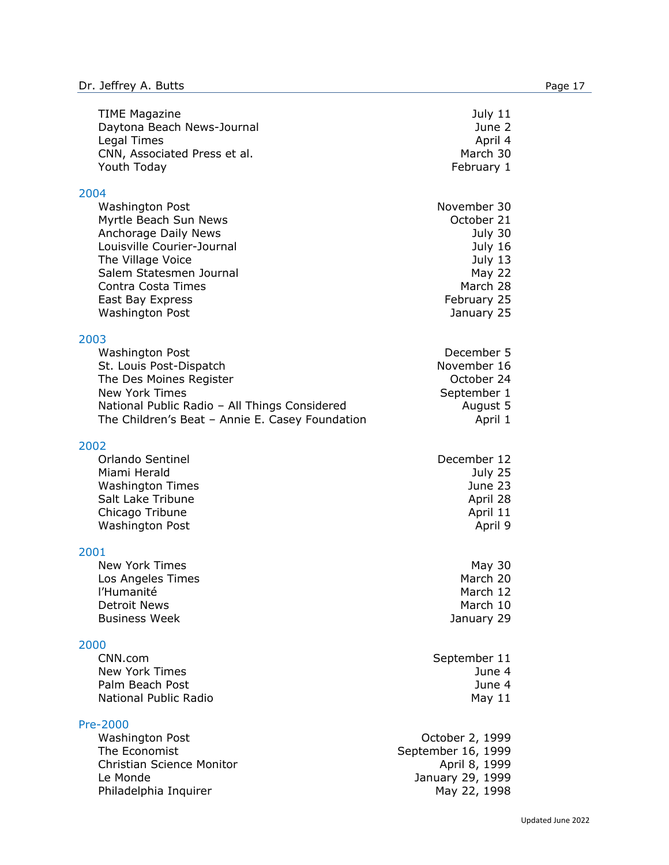| <b>TIME Magazine</b><br>Daytona Beach News-Journal<br>Legal Times<br>CNN, Associated Press et al.<br>Youth Today                                                                                                                         | July 11<br>June 2<br>April 4<br>March 30<br>February 1                                                               |
|------------------------------------------------------------------------------------------------------------------------------------------------------------------------------------------------------------------------------------------|----------------------------------------------------------------------------------------------------------------------|
| 2004<br><b>Washington Post</b><br>Myrtle Beach Sun News<br><b>Anchorage Daily News</b><br>Louisville Courier-Journal<br>The Village Voice<br>Salem Statesmen Journal<br>Contra Costa Times<br>East Bay Express<br><b>Washington Post</b> | November 30<br>October 21<br>July 30<br>July 16<br>July 13<br><b>May 22</b><br>March 28<br>February 25<br>January 25 |
| 2003<br><b>Washington Post</b><br>St. Louis Post-Dispatch<br>The Des Moines Register<br><b>New York Times</b><br>National Public Radio - All Things Considered<br>The Children's Beat - Annie E. Casey Foundation                        | December 5<br>November 16<br>October 24<br>September 1<br>August 5<br>April 1                                        |
| 2002<br>Orlando Sentinel<br>Miami Herald<br><b>Washington Times</b><br>Salt Lake Tribune<br>Chicago Tribune<br><b>Washington Post</b>                                                                                                    | December 12<br>July 25<br>June 23<br>April 28<br>April 11<br>April 9                                                 |
| 2001<br><b>New York Times</b><br>Los Angeles Times<br>l'Humanité<br><b>Detroit News</b><br><b>Business Week</b>                                                                                                                          | May 30<br>March 20<br>March 12<br>March 10<br>January 29                                                             |
| 2000<br>CNN.com<br><b>New York Times</b><br>Palm Beach Post<br>National Public Radio                                                                                                                                                     | September 11<br>June 4<br>June 4<br>May $11$                                                                         |
| Pre-2000<br><b>Washington Post</b><br>The Economist<br><b>Christian Science Monitor</b><br>Le Monde<br>Philadelphia Inquirer                                                                                                             | October 2, 1999<br>September 16, 1999<br>April 8, 1999<br>January 29, 1999<br>May 22, 1998                           |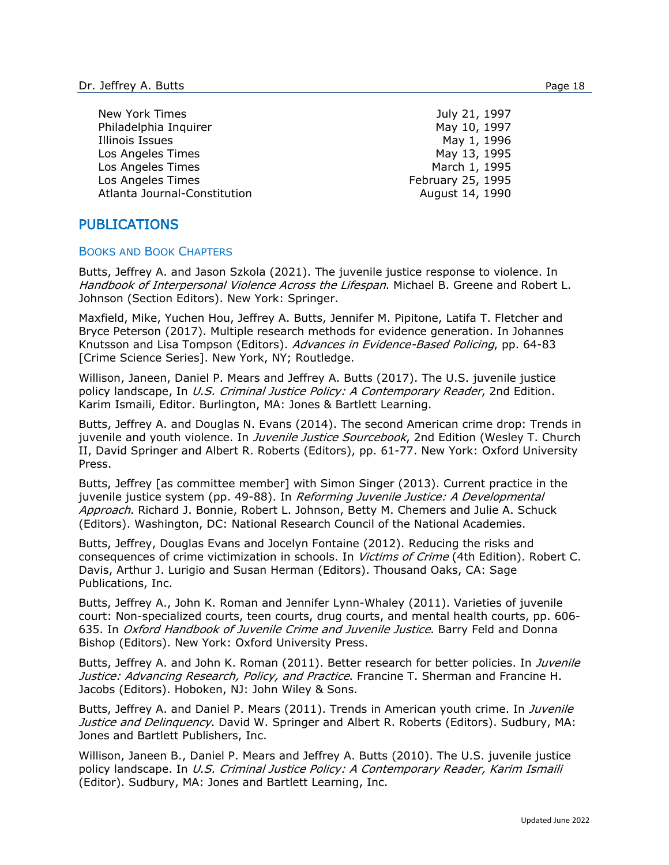| New York Times               | July 21, 1997     |
|------------------------------|-------------------|
| Philadelphia Inquirer        | May 10, 1997      |
| Illinois Issues              | May 1, 1996       |
| Los Angeles Times            | May 13, 1995      |
| Los Angeles Times            | March 1, 1995     |
| Los Angeles Times            | February 25, 1995 |
| Atlanta Journal-Constitution | August 14, 1990   |

# PUBLICATIONS

#### BOOKS AND BOOK CHAPTERS

Butts, Jeffrey A. and Jason Szkola (2021). The juvenile justice response to violence. In Handbook of Interpersonal Violence Across the Lifespan. Michael B. Greene and Robert L. Johnson (Section Editors). New York: Springer.

Maxfield, Mike, Yuchen Hou, Jeffrey A. Butts, Jennifer M. Pipitone, Latifa T. Fletcher and Bryce Peterson (2017). Multiple research methods for evidence generation. In Johannes Knutsson and Lisa Tompson (Editors). Advances in Evidence-Based Policing, pp. 64-83 [Crime Science Series]. New York, NY; Routledge.

Willison, Janeen, Daniel P. Mears and Jeffrey A. Butts (2017). The U.S. juvenile justice policy landscape, In U.S. Criminal Justice Policy: A Contemporary Reader, 2nd Edition. Karim Ismaili, Editor. Burlington, MA: Jones & Bartlett Learning.

Butts, Jeffrey A. and Douglas N. Evans (2014). The second American crime drop: Trends in juvenile and youth violence. In *Juvenile Justice Sourcebook*, 2nd Edition (Wesley T. Church II, David Springer and Albert R. Roberts (Editors), pp. 61-77. New York: Oxford University Press.

Butts, Jeffrey [as committee member] with Simon Singer (2013). Current practice in the juvenile justice system (pp. 49-88). In Reforming Juvenile Justice: A Developmental Approach. Richard J. Bonnie, Robert L. Johnson, Betty M. Chemers and Julie A. Schuck (Editors). Washington, DC: National Research Council of the National Academies.

Butts, Jeffrey, Douglas Evans and Jocelyn Fontaine (2012). Reducing the risks and consequences of crime victimization in schools. In *Victims of Crime* (4th Edition). Robert C. Davis, Arthur J. Lurigio and Susan Herman (Editors). Thousand Oaks, CA: Sage Publications, Inc.

Butts, Jeffrey A., John K. Roman and Jennifer Lynn-Whaley (2011). Varieties of juvenile court: Non-specialized courts, teen courts, drug courts, and mental health courts, pp. 606- 635. In Oxford Handbook of Juvenile Crime and Juvenile Justice. Barry Feld and Donna Bishop (Editors). New York: Oxford University Press.

Butts, Jeffrey A. and John K. Roman (2011). Better research for better policies. In Juvenile Justice: Advancing Research, Policy, and Practice. Francine T. Sherman and Francine H. Jacobs (Editors). Hoboken, NJ: John Wiley & Sons.

Butts, Jeffrey A. and Daniel P. Mears (2011). Trends in American youth crime. In Juvenile Justice and Delinquency. David W. Springer and Albert R. Roberts (Editors). Sudbury, MA: Jones and Bartlett Publishers, Inc.

Willison, Janeen B., Daniel P. Mears and Jeffrey A. Butts (2010). The U.S. juvenile justice policy landscape. In U.S. Criminal Justice Policy: A Contemporary Reader, Karim Ismaili (Editor). Sudbury, MA: Jones and Bartlett Learning, Inc.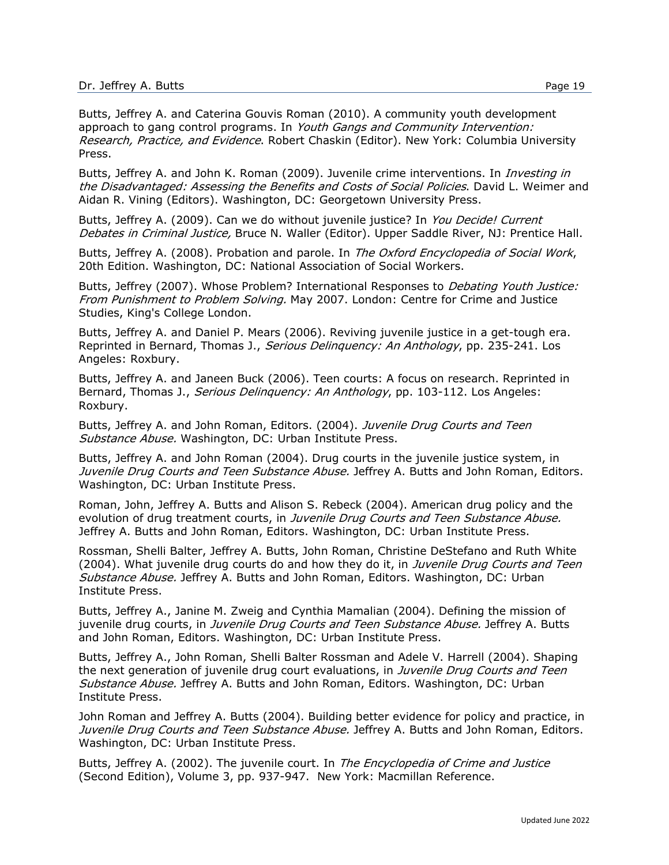Butts, Jeffrey A. and Caterina Gouvis Roman (2010). A community youth development approach to gang control programs. In Youth Gangs and Community Intervention: Research, Practice, and Evidence. Robert Chaskin (Editor). New York: Columbia University Press.

Butts, Jeffrey A. and John K. Roman (2009). Juvenile crime interventions. In *Investing in* the Disadvantaged: Assessing the Benefits and Costs of Social Policies. David L. Weimer and Aidan R. Vining (Editors). Washington, DC: Georgetown University Press.

Butts, Jeffrey A. (2009). Can we do without juvenile justice? In You Decide! Current Debates in Criminal Justice, Bruce N. Waller (Editor). Upper Saddle River, NJ: Prentice Hall.

Butts, Jeffrey A. (2008). Probation and parole. In The Oxford Encyclopedia of Social Work, 20th Edition. Washington, DC: National Association of Social Workers.

Butts, Jeffrey (2007). Whose Problem? International Responses to *Debating Youth Justice:* From Punishment to Problem Solving. May 2007. London: Centre for Crime and Justice Studies, King's College London.

Butts, Jeffrey A. and Daniel P. Mears (2006). Reviving juvenile justice in a get-tough era. Reprinted in Bernard, Thomas J., Serious Delinquency: An Anthology, pp. 235-241. Los Angeles: Roxbury.

Butts, Jeffrey A. and Janeen Buck (2006). Teen courts: A focus on research. Reprinted in Bernard, Thomas J., Serious Delinquency: An Anthology, pp. 103-112. Los Angeles: Roxbury.

Butts, Jeffrey A. and John Roman, Editors. (2004). Juvenile Drug Courts and Teen Substance Abuse. Washington, DC: Urban Institute Press.

Butts, Jeffrey A. and John Roman (2004). Drug courts in the juvenile justice system, in Juvenile Drug Courts and Teen Substance Abuse. Jeffrey A. Butts and John Roman, Editors. Washington, DC: Urban Institute Press.

Roman, John, Jeffrey A. Butts and Alison S. Rebeck (2004). American drug policy and the evolution of drug treatment courts, in Juvenile Drug Courts and Teen Substance Abuse. Jeffrey A. Butts and John Roman, Editors. Washington, DC: Urban Institute Press.

Rossman, Shelli Balter, Jeffrey A. Butts, John Roman, Christine DeStefano and Ruth White (2004). What juvenile drug courts do and how they do it, in Juvenile Drug Courts and Teen Substance Abuse. Jeffrey A. Butts and John Roman, Editors. Washington, DC: Urban Institute Press.

Butts, Jeffrey A., Janine M. Zweig and Cynthia Mamalian (2004). Defining the mission of juvenile drug courts, in Juvenile Drug Courts and Teen Substance Abuse. Jeffrey A. Butts and John Roman, Editors. Washington, DC: Urban Institute Press.

Butts, Jeffrey A., John Roman, Shelli Balter Rossman and Adele V. Harrell (2004). Shaping the next generation of juvenile drug court evaluations, in Juvenile Drug Courts and Teen Substance Abuse. Jeffrey A. Butts and John Roman, Editors. Washington, DC: Urban Institute Press.

John Roman and Jeffrey A. Butts (2004). Building better evidence for policy and practice, in Juvenile Drug Courts and Teen Substance Abuse. Jeffrey A. Butts and John Roman, Editors. Washington, DC: Urban Institute Press.

Butts, Jeffrey A. (2002). The juvenile court. In *The Encyclopedia of Crime and Justice* (Second Edition), Volume 3, pp. 937-947. New York: Macmillan Reference.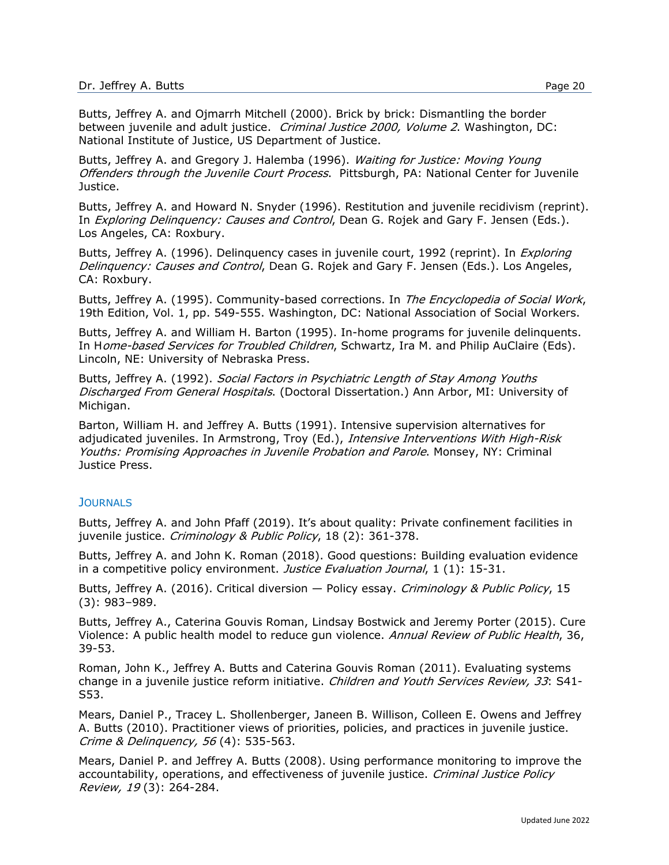Butts, Jeffrey A. and Ojmarrh Mitchell (2000). Brick by brick: Dismantling the border between juvenile and adult justice. Criminal Justice 2000, Volume 2. Washington, DC: National Institute of Justice, US Department of Justice.

Butts, Jeffrey A. and Gregory J. Halemba (1996). Waiting for Justice: Moving Young Offenders through the Juvenile Court Process. Pittsburgh, PA: National Center for Juvenile Justice.

Butts, Jeffrey A. and Howard N. Snyder (1996). Restitution and juvenile recidivism (reprint). In *Exploring Delinquency: Causes and Control*, Dean G. Rojek and Gary F. Jensen (Eds.). Los Angeles, CA: Roxbury.

Butts, Jeffrey A. (1996). Delinquency cases in juvenile court, 1992 (reprint). In *Exploring* Delinquency: Causes and Control, Dean G. Rojek and Gary F. Jensen (Eds.). Los Angeles, CA: Roxbury.

Butts, Jeffrey A. (1995). Community-based corrections. In The Encyclopedia of Social Work, 19th Edition, Vol. 1, pp. 549-555. Washington, DC: National Association of Social Workers.

Butts, Jeffrey A. and William H. Barton (1995). In-home programs for juvenile delinquents. In Home-based Services for Troubled Children, Schwartz, Ira M. and Philip AuClaire (Eds). Lincoln, NE: University of Nebraska Press.

Butts, Jeffrey A. (1992). Social Factors in Psychiatric Length of Stay Among Youths Discharged From General Hospitals. (Doctoral Dissertation.) Ann Arbor, MI: University of Michigan.

Barton, William H. and Jeffrey A. Butts (1991). Intensive supervision alternatives for adjudicated juveniles. In Armstrong, Troy (Ed.), Intensive Interventions With High-Risk Youths: Promising Approaches in Juvenile Probation and Parole. Monsey, NY: Criminal Justice Press.

#### JOURNALS

Butts, Jeffrey A. and John Pfaff (2019). It's about quality: Private confinement facilities in juvenile justice. Criminology & Public Policy, 18 (2): 361-378.

Butts, Jeffrey A. and John K. Roman (2018). Good questions: Building evaluation evidence in a competitive policy environment. Justice Evaluation Journal, 1 (1): 15-31.

Butts, Jeffrey A. (2016). Critical diversion — Policy essay. Criminology & Public Policy, 15 (3): 983–989.

Butts, Jeffrey A., Caterina Gouvis Roman, Lindsay Bostwick and Jeremy Porter (2015). Cure Violence: A public health model to reduce gun violence. Annual Review of Public Health, 36, 39-53.

Roman, John K., Jeffrey A. Butts and Caterina Gouvis Roman (2011). Evaluating systems change in a juvenile justice reform initiative. Children and Youth Services Review, 33: S41-S53.

Mears, Daniel P., Tracey L. Shollenberger, Janeen B. Willison, Colleen E. Owens and Jeffrey A. Butts (2010). Practitioner views of priorities, policies, and practices in juvenile justice. Crime & Delinquency, 56 (4): 535-563.

Mears, Daniel P. and Jeffrey A. Butts (2008). Using performance monitoring to improve the accountability, operations, and effectiveness of juvenile justice. Criminal Justice Policy Review, 19 (3): 264-284.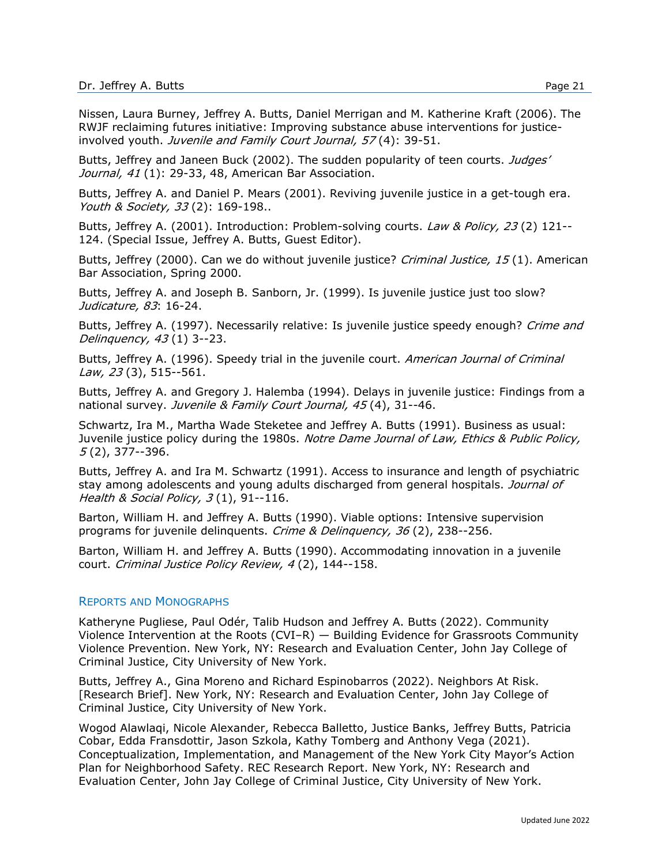Nissen, Laura Burney, Jeffrey A. Butts, Daniel Merrigan and M. Katherine Kraft (2006). The RWJF reclaiming futures initiative: Improving substance abuse interventions for justiceinvolved youth. Juvenile and Family Court Journal, 57(4): 39-51.

Butts, Jeffrey and Janeen Buck (2002). The sudden popularity of teen courts. Judges' Journal, 41 (1): 29-33, 48, American Bar Association.

Butts, Jeffrey A. and Daniel P. Mears (2001). Reviving juvenile justice in a get-tough era. Youth & Society, 33(2): 169-198..

Butts, Jeffrey A. (2001). Introduction: Problem-solving courts. *Law & Policy, 23* (2) 121--124. (Special Issue, Jeffrey A. Butts, Guest Editor).

Butts, Jeffrey (2000). Can we do without juvenile justice? *Criminal Justice, 15* (1). American Bar Association, Spring 2000.

Butts, Jeffrey A. and Joseph B. Sanborn, Jr. (1999). Is juvenile justice just too slow? Judicature, 83: 16-24.

Butts, Jeffrey A. (1997). Necessarily relative: Is juvenile justice speedy enough? Crime and Delinquency, 43 (1) 3--23.

Butts, Jeffrey A. (1996). Speedy trial in the juvenile court. American Journal of Criminal Law, 23 (3), 515--561.

Butts, Jeffrey A. and Gregory J. Halemba (1994). Delays in juvenile justice: Findings from a national survey. Juvenile & Family Court Journal, 45(4), 31--46.

Schwartz, Ira M., Martha Wade Steketee and Jeffrey A. Butts (1991). Business as usual: Juvenile justice policy during the 1980s. Notre Dame Journal of Law, Ethics & Public Policy, 5 (2), 377--396.

Butts, Jeffrey A. and Ira M. Schwartz (1991). Access to insurance and length of psychiatric stay among adolescents and young adults discharged from general hospitals. Journal of Health & Social Policy, 3(1), 91--116.

Barton, William H. and Jeffrey A. Butts (1990). Viable options: Intensive supervision programs for juvenile delinquents. Crime & Delinquency, 36 (2), 238--256.

Barton, William H. and Jeffrey A. Butts (1990). Accommodating innovation in a juvenile court. Criminal Justice Policy Review, 4 (2), 144--158.

#### REPORTS AND MONOGRAPHS

Katheryne Pugliese, Paul Odér, Talib Hudson and Jeffrey A. Butts (2022). Community Violence Intervention at the Roots (CVI–R) — Building Evidence for Grassroots Community Violence Prevention. New York, NY: Research and Evaluation Center, John Jay College of Criminal Justice, City University of New York.

Butts, Jeffrey A., Gina Moreno and Richard Espinobarros (2022). Neighbors At Risk. [Research Brief]. New York, NY: Research and Evaluation Center, John Jay College of Criminal Justice, City University of New York.

Wogod Alawlaqi, Nicole Alexander, Rebecca Balletto, Justice Banks, Jeffrey Butts, Patricia Cobar, Edda Fransdottir, Jason Szkola, Kathy Tomberg and Anthony Vega (2021). Conceptualization, Implementation, and Management of the New York City Mayor's Action Plan for Neighborhood Safety. REC Research Report. New York, NY: Research and Evaluation Center, John Jay College of Criminal Justice, City University of New York.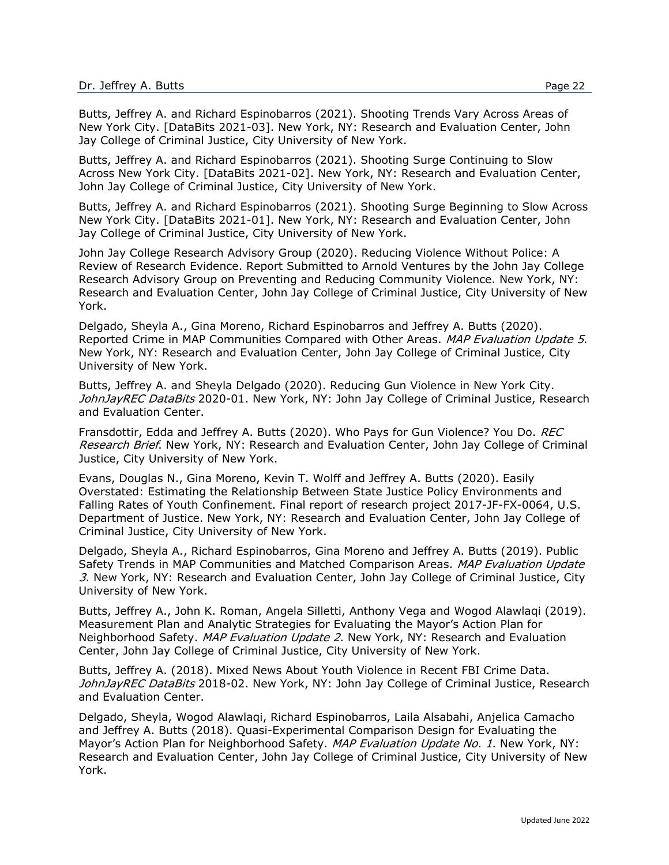Butts, Jeffrey A. and Richard Espinobarros (2021). Shooting Trends Vary Across Areas of New York City. [DataBits 2021-03]. New York, NY: Research and Evaluation Center, John Jay College of Criminal Justice, City University of New York.

Butts, Jeffrey A. and Richard Espinobarros (2021). Shooting Surge Continuing to Slow Across New York City. [DataBits 2021-02]. New York, NY: Research and Evaluation Center, John Jay College of Criminal Justice, City University of New York.

Butts, Jeffrey A. and Richard Espinobarros (2021). Shooting Surge Beginning to Slow Across New York City. [DataBits 2021-01]. New York, NY: Research and Evaluation Center, John Jay College of Criminal Justice, City University of New York.

John Jay College Research Advisory Group (2020). Reducing Violence Without Police: A Review of Research Evidence. Report Submitted to Arnold Ventures by the John Jay College Research Advisory Group on Preventing and Reducing Community Violence. New York, NY: Research and Evaluation Center, John Jay College of Criminal Justice, City University of New York.

Delgado, Sheyla A., Gina Moreno, Richard Espinobarros and Jeffrey A. Butts (2020). Reported Crime in MAP Communities Compared with Other Areas. MAP Evaluation Update 5. New York, NY: Research and Evaluation Center, John Jay College of Criminal Justice, City University of New York.

Butts, Jeffrey A. and Sheyla Delgado (2020). Reducing Gun Violence in New York City. JohnJayREC DataBits 2020-01. New York, NY: John Jay College of Criminal Justice, Research and Evaluation Center.

Fransdottir, Edda and Jeffrey A. Butts (2020). Who Pays for Gun Violence? You Do. REC Research Brief. New York, NY: Research and Evaluation Center, John Jay College of Criminal Justice, City University of New York.

Evans, Douglas N., Gina Moreno, Kevin T. Wolff and Jeffrey A. Butts (2020). Easily Overstated: Estimating the Relationship Between State Justice Policy Environments and Falling Rates of Youth Confinement. Final report of research project 2017-JF-FX-0064, U.S. Department of Justice. New York, NY: Research and Evaluation Center, John Jay College of Criminal Justice, City University of New York.

Delgado, Sheyla A., Richard Espinobarros, Gina Moreno and Jeffrey A. Butts (2019). Public Safety Trends in MAP Communities and Matched Comparison Areas. MAP Evaluation Update 3. New York, NY: Research and Evaluation Center, John Jay College of Criminal Justice, City University of New York.

Butts, Jeffrey A., John K. Roman, Angela Silletti, Anthony Vega and Wogod Alawlaqi (2019). Measurement Plan and Analytic Strategies for Evaluating the Mayor's Action Plan for Neighborhood Safety. MAP Evaluation Update 2. New York, NY: Research and Evaluation Center, John Jay College of Criminal Justice, City University of New York.

Butts, Jeffrey A. (2018). Mixed News About Youth Violence in Recent FBI Crime Data. JohnJayREC DataBits 2018-02. New York, NY: John Jay College of Criminal Justice, Research and Evaluation Center.

Delgado, Sheyla, Wogod Alawlaqi, Richard Espinobarros, Laila Alsabahi, Anjelica Camacho and Jeffrey A. Butts (2018). Quasi-Experimental Comparison Design for Evaluating the Mayor's Action Plan for Neighborhood Safety. MAP Evaluation Update No. 1. New York, NY: Research and Evaluation Center, John Jay College of Criminal Justice, City University of New York.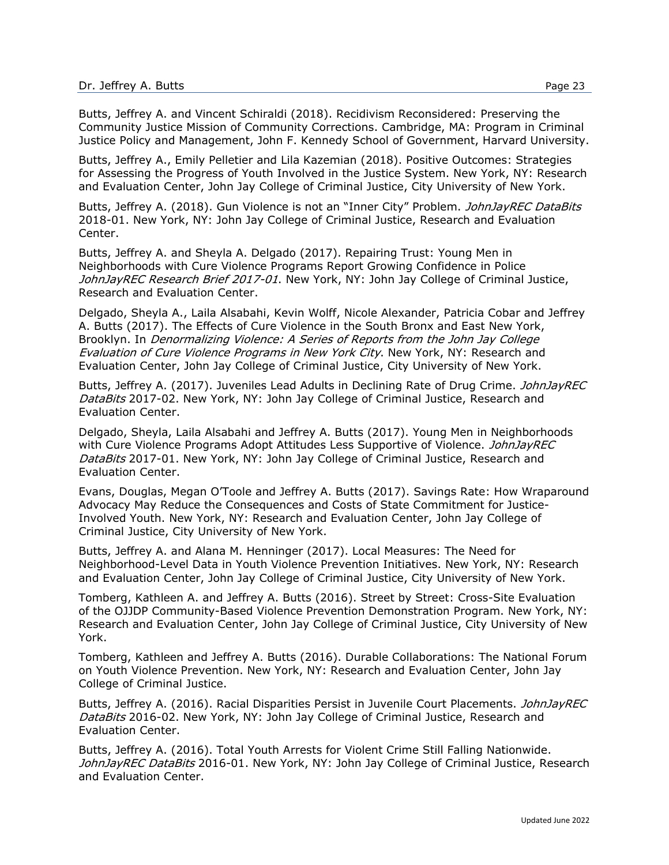Butts, Jeffrey A. and Vincent Schiraldi (2018). Recidivism Reconsidered: Preserving the Community Justice Mission of Community Corrections. Cambridge, MA: Program in Criminal Justice Policy and Management, John F. Kennedy School of Government, Harvard University.

Butts, Jeffrey A., Emily Pelletier and Lila Kazemian (2018). Positive Outcomes: Strategies for Assessing the Progress of Youth Involved in the Justice System. New York, NY: Research and Evaluation Center, John Jay College of Criminal Justice, City University of New York.

Butts, Jeffrey A. (2018). Gun Violence is not an "Inner City" Problem. JohnJayREC DataBits 2018-01. New York, NY: John Jay College of Criminal Justice, Research and Evaluation Center.

Butts, Jeffrey A. and Sheyla A. Delgado (2017). Repairing Trust: Young Men in Neighborhoods with Cure Violence Programs Report Growing Confidence in Police JohnJayREC Research Brief 2017-01. New York, NY: John Jay College of Criminal Justice, Research and Evaluation Center.

Delgado, Sheyla A., Laila Alsabahi, Kevin Wolff, Nicole Alexander, Patricia Cobar and Jeffrey A. Butts (2017). The Effects of Cure Violence in the South Bronx and East New York, Brooklyn. In Denormalizing Violence: A Series of Reports from the John Jay College Evaluation of Cure Violence Programs in New York City. New York, NY: Research and Evaluation Center, John Jay College of Criminal Justice, City University of New York.

Butts, Jeffrey A. (2017). Juveniles Lead Adults in Declining Rate of Drug Crime. *JohnJayREC* DataBits 2017-02. New York, NY: John Jay College of Criminal Justice, Research and Evaluation Center.

Delgado, Sheyla, Laila Alsabahi and Jeffrey A. Butts (2017). Young Men in Neighborhoods with Cure Violence Programs Adopt Attitudes Less Supportive of Violence. JohnJayREC DataBits 2017-01. New York, NY: John Jay College of Criminal Justice, Research and Evaluation Center.

Evans, Douglas, Megan O'Toole and Jeffrey A. Butts (2017). Savings Rate: How Wraparound Advocacy May Reduce the Consequences and Costs of State Commitment for Justice-Involved Youth. New York, NY: Research and Evaluation Center, John Jay College of Criminal Justice, City University of New York.

Butts, Jeffrey A. and Alana M. Henninger (2017). Local Measures: The Need for Neighborhood-Level Data in Youth Violence Prevention Initiatives. New York, NY: Research and Evaluation Center, John Jay College of Criminal Justice, City University of New York.

Tomberg, Kathleen A. and Jeffrey A. Butts (2016). Street by Street: Cross-Site Evaluation of the OJJDP Community-Based Violence Prevention Demonstration Program. New York, NY: Research and Evaluation Center, John Jay College of Criminal Justice, City University of New York.

Tomberg, Kathleen and Jeffrey A. Butts (2016). Durable Collaborations: The National Forum on Youth Violence Prevention. New York, NY: Research and Evaluation Center, John Jay College of Criminal Justice.

Butts, Jeffrey A. (2016). Racial Disparities Persist in Juvenile Court Placements. JohnJayREC DataBits 2016-02. New York, NY: John Jay College of Criminal Justice, Research and Evaluation Center.

Butts, Jeffrey A. (2016). Total Youth Arrests for Violent Crime Still Falling Nationwide. JohnJayREC DataBits 2016-01. New York, NY: John Jay College of Criminal Justice, Research and Evaluation Center.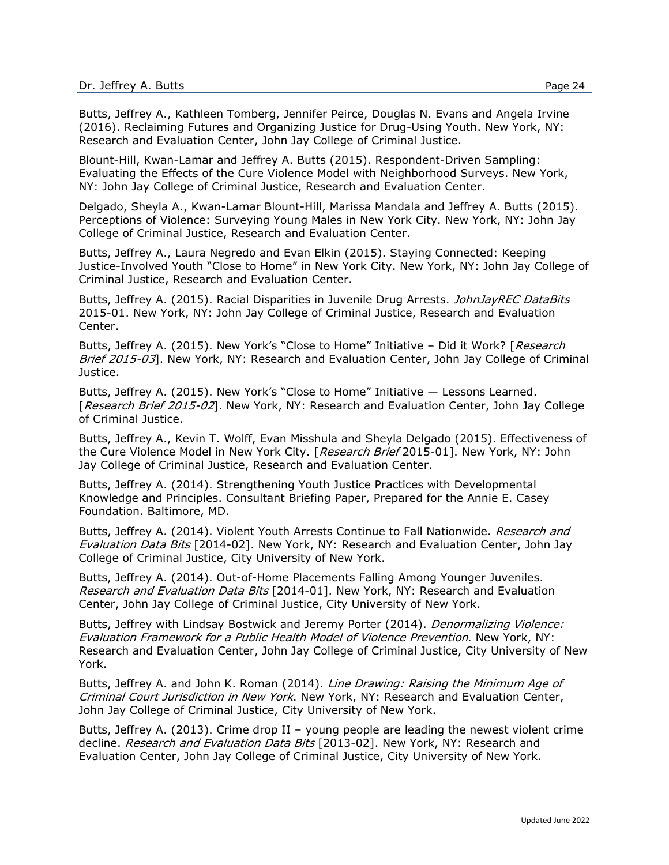Butts, Jeffrey A., Kathleen Tomberg, Jennifer Peirce, Douglas N. Evans and Angela Irvine (2016). Reclaiming Futures and Organizing Justice for Drug-Using Youth. New York, NY: Research and Evaluation Center, John Jay College of Criminal Justice.

Blount-Hill, Kwan-Lamar and Jeffrey A. Butts (2015). Respondent-Driven Sampling: Evaluating the Effects of the Cure Violence Model with Neighborhood Surveys. New York, NY: John Jay College of Criminal Justice, Research and Evaluation Center.

Delgado, Sheyla A., Kwan-Lamar Blount-Hill, Marissa Mandala and Jeffrey A. Butts (2015). Perceptions of Violence: Surveying Young Males in New York City. New York, NY: John Jay College of Criminal Justice, Research and Evaluation Center.

Butts, Jeffrey A., Laura Negredo and Evan Elkin (2015). Staying Connected: Keeping Justice-Involved Youth "Close to Home" in New York City. New York, NY: John Jay College of Criminal Justice, Research and Evaluation Center.

Butts, Jeffrey A. (2015). Racial Disparities in Juvenile Drug Arrests. JohnJayREC DataBits 2015-01. New York, NY: John Jay College of Criminal Justice, Research and Evaluation Center.

Butts, Jeffrey A. (2015). New York's "Close to Home" Initiative – Did it Work? [Research Brief 2015-03]. New York, NY: Research and Evaluation Center, John Jay College of Criminal Justice.

Butts, Jeffrey A. (2015). New York's "Close to Home" Initiative — Lessons Learned. [Research Brief 2015-02]. New York, NY: Research and Evaluation Center, John Jay College of Criminal Justice.

Butts, Jeffrey A., Kevin T. Wolff, Evan Misshula and Sheyla Delgado (2015). Effectiveness of the Cure Violence Model in New York City. [Research Brief 2015-01]. New York, NY: John Jay College of Criminal Justice, Research and Evaluation Center.

Butts, Jeffrey A. (2014). Strengthening Youth Justice Practices with Developmental Knowledge and Principles. Consultant Briefing Paper, Prepared for the Annie E. Casey Foundation. Baltimore, MD.

Butts, Jeffrey A. (2014). Violent Youth Arrests Continue to Fall Nationwide. Research and Evaluation Data Bits [2014-02]. New York, NY: Research and Evaluation Center, John Jay College of Criminal Justice, City University of New York.

Butts, Jeffrey A. (2014). Out-of-Home Placements Falling Among Younger Juveniles. Research and Evaluation Data Bits [2014-01]. New York, NY: Research and Evaluation Center, John Jay College of Criminal Justice, City University of New York.

Butts, Jeffrey with Lindsay Bostwick and Jeremy Porter (2014). Denormalizing Violence: Evaluation Framework for a Public Health Model of Violence Prevention. New York, NY: Research and Evaluation Center, John Jay College of Criminal Justice, City University of New York.

Butts, Jeffrey A. and John K. Roman (2014). Line Drawing: Raising the Minimum Age of Criminal Court Jurisdiction in New York. New York, NY: Research and Evaluation Center, John Jay College of Criminal Justice, City University of New York.

Butts, Jeffrey A. (2013). Crime drop II – young people are leading the newest violent crime decline. Research and Evaluation Data Bits [2013-02]. New York, NY: Research and Evaluation Center, John Jay College of Criminal Justice, City University of New York.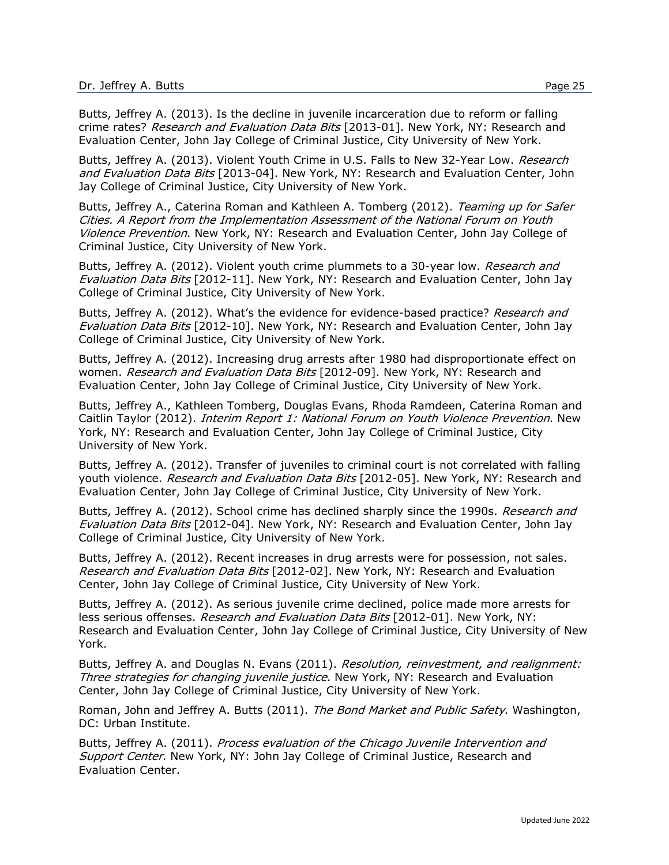Butts, Jeffrey A. (2013). Is the decline in juvenile incarceration due to reform or falling crime rates? Research and Evaluation Data Bits [2013-01]. New York, NY: Research and Evaluation Center, John Jay College of Criminal Justice, City University of New York.

Butts, Jeffrey A. (2013). Violent Youth Crime in U.S. Falls to New 32-Year Low. Research and Evaluation Data Bits [2013-04]. New York, NY: Research and Evaluation Center, John Jay College of Criminal Justice, City University of New York.

Butts, Jeffrey A., Caterina Roman and Kathleen A. Tomberg (2012). Teaming up for Safer Cities. A Report from the Implementation Assessment of the National Forum on Youth Violence Prevention. New York, NY: Research and Evaluation Center, John Jay College of Criminal Justice, City University of New York.

Butts, Jeffrey A. (2012). Violent youth crime plummets to a 30-year low. Research and Evaluation Data Bits [2012-11]. New York, NY: Research and Evaluation Center, John Jay College of Criminal Justice, City University of New York.

Butts, Jeffrey A. (2012). What's the evidence for evidence-based practice? Research and Evaluation Data Bits [2012-10]. New York, NY: Research and Evaluation Center, John Jay College of Criminal Justice, City University of New York.

Butts, Jeffrey A. (2012). Increasing drug arrests after 1980 had disproportionate effect on women. Research and Evaluation Data Bits [2012-09]. New York, NY: Research and Evaluation Center, John Jay College of Criminal Justice, City University of New York.

Butts, Jeffrey A., Kathleen Tomberg, Douglas Evans, Rhoda Ramdeen, Caterina Roman and Caitlin Taylor (2012). *Interim Report 1: National Forum on Youth Violence Prevention*. New York, NY: Research and Evaluation Center, John Jay College of Criminal Justice, City University of New York.

Butts, Jeffrey A. (2012). Transfer of juveniles to criminal court is not correlated with falling youth violence. Research and Evaluation Data Bits [2012-05]. New York, NY: Research and Evaluation Center, John Jay College of Criminal Justice, City University of New York.

Butts, Jeffrey A. (2012). School crime has declined sharply since the 1990s. Research and Evaluation Data Bits [2012-04]. New York, NY: Research and Evaluation Center, John Jay College of Criminal Justice, City University of New York.

Butts, Jeffrey A. (2012). Recent increases in drug arrests were for possession, not sales. Research and Evaluation Data Bits [2012-02]. New York, NY: Research and Evaluation Center, John Jay College of Criminal Justice, City University of New York.

Butts, Jeffrey A. (2012). As serious juvenile crime declined, police made more arrests for less serious offenses. Research and Evaluation Data Bits [2012-01]. New York, NY: Research and Evaluation Center, John Jay College of Criminal Justice, City University of New York.

Butts, Jeffrey A. and Douglas N. Evans (2011). Resolution, reinvestment, and realignment: Three strategies for changing juvenile justice. New York, NY: Research and Evaluation Center, John Jay College of Criminal Justice, City University of New York.

Roman, John and Jeffrey A. Butts (2011). The Bond Market and Public Safety. Washington, DC: Urban Institute.

Butts, Jeffrey A. (2011). Process evaluation of the Chicago Juvenile Intervention and Support Center. New York, NY: John Jay College of Criminal Justice, Research and Evaluation Center.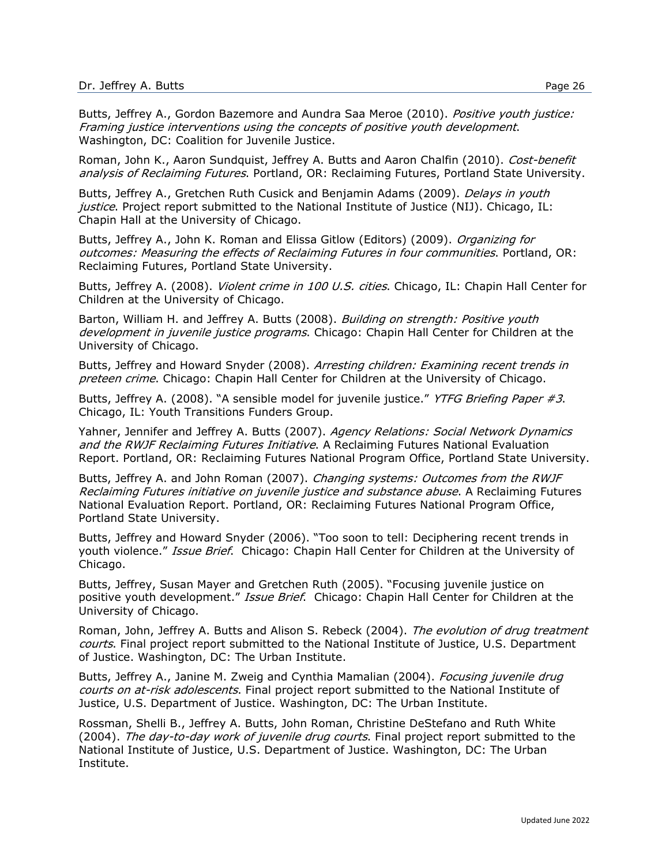Butts, Jeffrey A., Gordon Bazemore and Aundra Saa Meroe (2010). Positive youth justice: Framing justice interventions using the concepts of positive youth development. Washington, DC: Coalition for Juvenile Justice.

Roman, John K., Aaron Sundquist, Jeffrey A. Butts and Aaron Chalfin (2010). Cost-benefit analysis of Reclaiming Futures. Portland, OR: Reclaiming Futures, Portland State University.

Butts, Jeffrey A., Gretchen Ruth Cusick and Benjamin Adams (2009). *Delays in youth* justice. Project report submitted to the National Institute of Justice (NIJ). Chicago, IL: Chapin Hall at the University of Chicago.

Butts, Jeffrey A., John K. Roman and Elissa Gitlow (Editors) (2009). Organizing for outcomes: Measuring the effects of Reclaiming Futures in four communities. Portland, OR: Reclaiming Futures, Portland State University.

Butts, Jeffrey A. (2008). Violent crime in 100 U.S. cities. Chicago, IL: Chapin Hall Center for Children at the University of Chicago.

Barton, William H. and Jeffrey A. Butts (2008). Building on strength: Positive youth development in juvenile justice programs. Chicago: Chapin Hall Center for Children at the University of Chicago.

Butts, Jeffrey and Howard Snyder (2008). Arresting children: Examining recent trends in preteen crime. Chicago: Chapin Hall Center for Children at the University of Chicago.

Butts, Jeffrey A. (2008). "A sensible model for juvenile justice." YTFG Briefing Paper #3. Chicago, IL: Youth Transitions Funders Group.

Yahner, Jennifer and Jeffrey A. Butts (2007). Agency Relations: Social Network Dynamics and the RWJF Reclaiming Futures Initiative. A Reclaiming Futures National Evaluation Report. Portland, OR: Reclaiming Futures National Program Office, Portland State University.

Butts, Jeffrey A. and John Roman (2007). Changing systems: Outcomes from the RWJF Reclaiming Futures initiative on juvenile justice and substance abuse. A Reclaiming Futures National Evaluation Report. Portland, OR: Reclaiming Futures National Program Office, Portland State University.

Butts, Jeffrey and Howard Snyder (2006). "Too soon to tell: Deciphering recent trends in youth violence." Issue Brief. Chicago: Chapin Hall Center for Children at the University of Chicago.

Butts, Jeffrey, Susan Mayer and Gretchen Ruth (2005). "Focusing juvenile justice on positive youth development." Issue Brief. Chicago: Chapin Hall Center for Children at the University of Chicago.

Roman, John, Jeffrey A. Butts and Alison S. Rebeck (2004). The evolution of drug treatment courts. Final project report submitted to the National Institute of Justice, U.S. Department of Justice. Washington, DC: The Urban Institute.

Butts, Jeffrey A., Janine M. Zweig and Cynthia Mamalian (2004). *Focusing juvenile drug* courts on at-risk adolescents. Final project report submitted to the National Institute of Justice, U.S. Department of Justice. Washington, DC: The Urban Institute.

Rossman, Shelli B., Jeffrey A. Butts, John Roman, Christine DeStefano and Ruth White (2004). The day-to-day work of juvenile drug courts. Final project report submitted to the National Institute of Justice, U.S. Department of Justice. Washington, DC: The Urban Institute.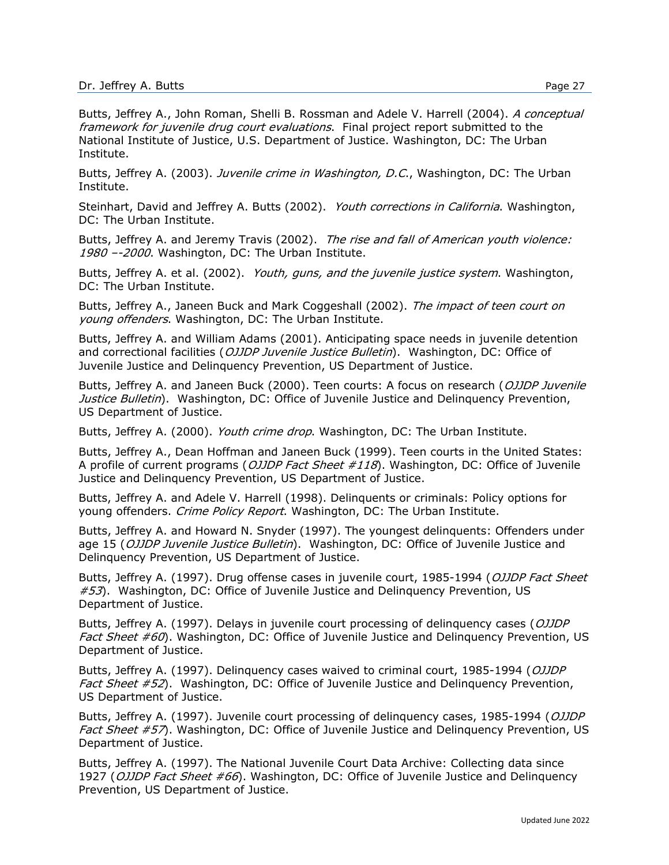Butts, Jeffrey A., John Roman, Shelli B. Rossman and Adele V. Harrell (2004). A conceptual framework for juvenile drug court evaluations. Final project report submitted to the National Institute of Justice, U.S. Department of Justice. Washington, DC: The Urban Institute.

Butts, Jeffrey A. (2003). Juvenile crime in Washington, D.C., Washington, DC: The Urban Institute.

Steinhart, David and Jeffrey A. Butts (2002). Youth corrections in California. Washington, DC: The Urban Institute.

Butts, Jeffrey A. and Jeremy Travis (2002). The rise and fall of American youth violence: 1980 --2000. Washington, DC: The Urban Institute.

Butts, Jeffrey A. et al. (2002). *Youth, guns, and the juvenile justice system*. Washington, DC: The Urban Institute.

Butts, Jeffrey A., Janeen Buck and Mark Coggeshall (2002). The impact of teen court on young offenders. Washington, DC: The Urban Institute.

Butts, Jeffrey A. and William Adams (2001). Anticipating space needs in juvenile detention and correctional facilities (OJJDP Juvenile Justice Bulletin). Washington, DC: Office of Juvenile Justice and Delinquency Prevention, US Department of Justice.

Butts, Jeffrey A. and Janeen Buck (2000). Teen courts: A focus on research (OJJDP Juvenile Justice Bulletin). Washington, DC: Office of Juvenile Justice and Delinquency Prevention, US Department of Justice.

Butts, Jeffrey A. (2000). Youth crime drop. Washington, DC: The Urban Institute.

Butts, Jeffrey A., Dean Hoffman and Janeen Buck (1999). Teen courts in the United States: A profile of current programs (*OJJDP Fact Sheet #118*). Washington, DC: Office of Juvenile Justice and Delinquency Prevention, US Department of Justice.

Butts, Jeffrey A. and Adele V. Harrell (1998). Delinquents or criminals: Policy options for young offenders. Crime Policy Report. Washington, DC: The Urban Institute.

Butts, Jeffrey A. and Howard N. Snyder (1997). The youngest delinquents: Offenders under age 15 (*OJJDP Juvenile Justice Bulletin*). Washington, DC: Office of Juvenile Justice and Delinquency Prevention, US Department of Justice.

Butts, Jeffrey A. (1997). Drug offense cases in juvenile court, 1985-1994 (OJJDP Fact Sheet  $#53$ ). Washington, DC: Office of Juvenile Justice and Delinguency Prevention, US Department of Justice.

Butts, Jeffrey A. (1997). Delays in juvenile court processing of delinguency cases (OJJDP Fact Sheet #60). Washington, DC: Office of Juvenile Justice and Delinguency Prevention, US Department of Justice.

Butts, Jeffrey A. (1997). Delinguency cases waived to criminal court, 1985-1994 (OJJDP *Fact Sheet*  $#52$ ). Washington, DC: Office of Juvenile Justice and Delinguency Prevention, US Department of Justice.

Butts, Jeffrey A. (1997). Juvenile court processing of delinguency cases, 1985-1994 (OJJDP Fact Sheet #57). Washington, DC: Office of Juvenile Justice and Delinguency Prevention, US Department of Justice.

Butts, Jeffrey A. (1997). The National Juvenile Court Data Archive: Collecting data since 1927 (OJJDP Fact Sheet #66). Washington, DC: Office of Juvenile Justice and Delinquency Prevention, US Department of Justice.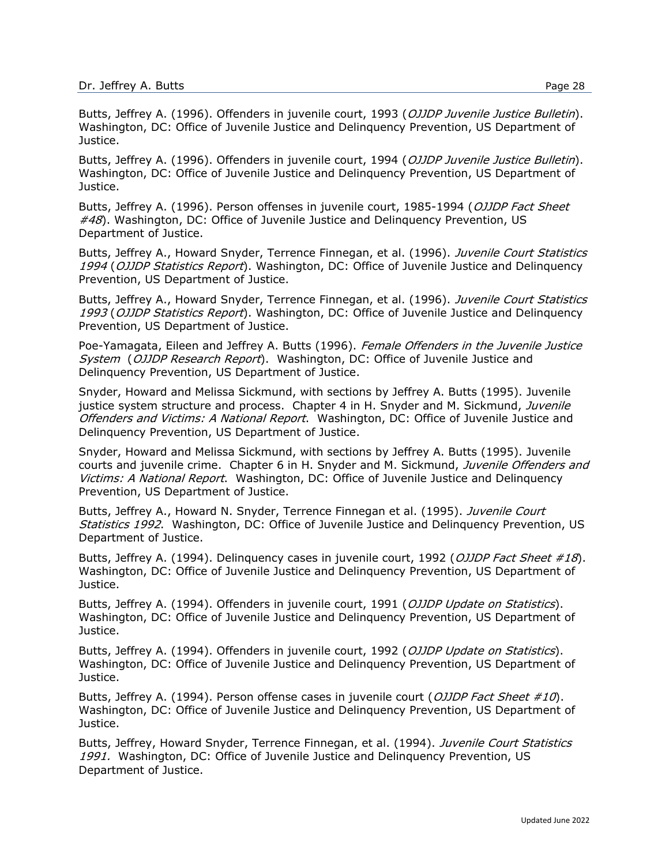Butts, Jeffrey A. (1996). Offenders in juvenile court, 1993 (OJJDP Juvenile Justice Bulletin). Washington, DC: Office of Juvenile Justice and Delinquency Prevention, US Department of Justice.

Butts, Jeffrey A. (1996). Offenders in juvenile court, 1994 (OJJDP Juvenile Justice Bulletin). Washington, DC: Office of Juvenile Justice and Delinquency Prevention, US Department of Justice.

Butts, Jeffrey A. (1996). Person offenses in juvenile court, 1985-1994 (OJJDP Fact Sheet  $#48$ ). Washington, DC: Office of Juvenile Justice and Delinguency Prevention, US Department of Justice.

Butts, Jeffrey A., Howard Snyder, Terrence Finnegan, et al. (1996). Juvenile Court Statistics 1994 (OJJDP Statistics Report). Washington, DC: Office of Juvenile Justice and Delinguency Prevention, US Department of Justice.

Butts, Jeffrey A., Howard Snyder, Terrence Finnegan, et al. (1996). Juvenile Court Statistics 1993 (OJJDP Statistics Report). Washington, DC: Office of Juvenile Justice and Delinquency Prevention, US Department of Justice.

Poe-Yamagata, Eileen and Jeffrey A. Butts (1996). Female Offenders in the Juvenile Justice System (OJJDP Research Report). Washington, DC: Office of Juvenile Justice and Delinquency Prevention, US Department of Justice.

Snyder, Howard and Melissa Sickmund, with sections by Jeffrey A. Butts (1995). Juvenile justice system structure and process. Chapter 4 in H. Snyder and M. Sickmund, Juvenile Offenders and Victims: A National Report. Washington, DC: Office of Juvenile Justice and Delinquency Prevention, US Department of Justice.

Snyder, Howard and Melissa Sickmund, with sections by Jeffrey A. Butts (1995). Juvenile courts and juvenile crime. Chapter 6 in H. Snyder and M. Sickmund, Juvenile Offenders and Victims: A National Report. Washington, DC: Office of Juvenile Justice and Delinguency Prevention, US Department of Justice.

Butts, Jeffrey A., Howard N. Snyder, Terrence Finnegan et al. (1995). Juvenile Court Statistics 1992. Washington, DC: Office of Juvenile Justice and Delinguency Prevention, US Department of Justice.

Butts, Jeffrey A. (1994). Delinquency cases in juvenile court, 1992 (OJJDP Fact Sheet #18). Washington, DC: Office of Juvenile Justice and Delinquency Prevention, US Department of Justice.

Butts, Jeffrey A. (1994). Offenders in juvenile court, 1991 (OJJDP Update on Statistics). Washington, DC: Office of Juvenile Justice and Delinquency Prevention, US Department of Justice.

Butts, Jeffrey A. (1994). Offenders in juvenile court, 1992 (OJJDP Update on Statistics). Washington, DC: Office of Juvenile Justice and Delinquency Prevention, US Department of Justice.

Butts, Jeffrey A. (1994). Person offense cases in juvenile court (OJJDP Fact Sheet  $\#10$ ). Washington, DC: Office of Juvenile Justice and Delinquency Prevention, US Department of Justice.

Butts, Jeffrey, Howard Snyder, Terrence Finnegan, et al. (1994). Juvenile Court Statistics 1991. Washington, DC: Office of Juvenile Justice and Delinguency Prevention, US Department of Justice.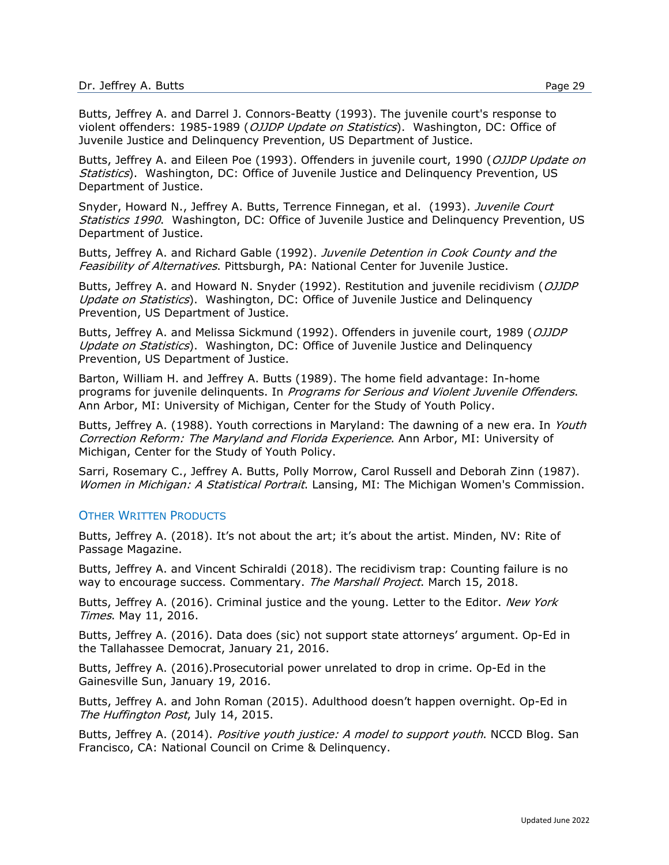Butts, Jeffrey A. and Darrel J. Connors-Beatty (1993). The juvenile court's response to violent offenders: 1985-1989 (OJJDP Update on Statistics). Washington, DC: Office of Juvenile Justice and Delinquency Prevention, US Department of Justice.

Butts, Jeffrey A. and Eileen Poe (1993). Offenders in juvenile court, 1990 (OJJDP Update on Statistics). Washington, DC: Office of Juvenile Justice and Delinquency Prevention, US Department of Justice.

Snyder, Howard N., Jeffrey A. Butts, Terrence Finnegan, et al. (1993). Juvenile Court Statistics 1990. Washington, DC: Office of Juvenile Justice and Delinguency Prevention, US Department of Justice.

Butts, Jeffrey A. and Richard Gable (1992). Juvenile Detention in Cook County and the Feasibility of Alternatives. Pittsburgh, PA: National Center for Juvenile Justice.

Butts, Jeffrey A. and Howard N. Snyder (1992). Restitution and juvenile recidivism (OJJDP Update on Statistics). Washington, DC: Office of Juvenile Justice and Delinguency Prevention, US Department of Justice.

Butts, Jeffrey A. and Melissa Sickmund (1992). Offenders in juvenile court, 1989 (OJJDP Update on Statistics). Washington, DC: Office of Juvenile Justice and Delinquency Prevention, US Department of Justice.

Barton, William H. and Jeffrey A. Butts (1989). The home field advantage: In-home programs for juvenile delinquents. In Programs for Serious and Violent Juvenile Offenders. Ann Arbor, MI: University of Michigan, Center for the Study of Youth Policy.

Butts, Jeffrey A. (1988). Youth corrections in Maryland: The dawning of a new era. In Youth Correction Reform: The Maryland and Florida Experience. Ann Arbor, MI: University of Michigan, Center for the Study of Youth Policy.

Sarri, Rosemary C., Jeffrey A. Butts, Polly Morrow, Carol Russell and Deborah Zinn (1987). Women in Michigan: A Statistical Portrait. Lansing, MI: The Michigan Women's Commission.

#### OTHER WRITTEN PRODUCTS

Butts, Jeffrey A. (2018). It's not about the art; it's about the artist. Minden, NV: Rite of Passage Magazine.

Butts, Jeffrey A. and Vincent Schiraldi (2018). The recidivism trap: Counting failure is no way to encourage success. Commentary. The Marshall Project. March 15, 2018.

Butts, Jeffrey A. (2016). Criminal justice and the young. Letter to the Editor. New York Times. May 11, 2016.

Butts, Jeffrey A. (2016). Data does (sic) not support state attorneys' argument. Op-Ed in the Tallahassee Democrat, January 21, 2016.

Butts, Jeffrey A. (2016).Prosecutorial power unrelated to drop in crime. Op-Ed in the Gainesville Sun, January 19, 2016.

Butts, Jeffrey A. and John Roman (2015). Adulthood doesn't happen overnight. Op-Ed in The Huffington Post, July 14, 2015.

Butts, Jeffrey A. (2014). *Positive youth justice: A model to support youth*. NCCD Blog. San Francisco, CA: National Council on Crime & Delinquency.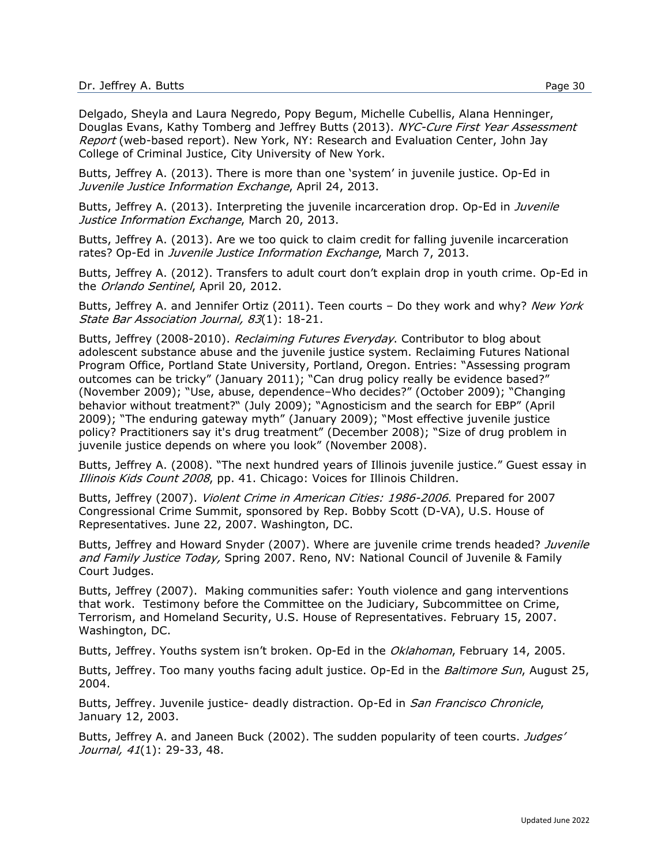Delgado, Sheyla and Laura Negredo, Popy Begum, Michelle Cubellis, Alana Henninger, Douglas Evans, Kathy Tomberg and Jeffrey Butts (2013). NYC-Cure First Year Assessment Report (web-based report). New York, NY: Research and Evaluation Center, John Jay College of Criminal Justice, City University of New York.

Butts, Jeffrey A. (2013). There is more than one 'system' in juvenile justice. Op-Ed in Juvenile Justice Information Exchange, April 24, 2013.

Butts, Jeffrey A. (2013). Interpreting the juvenile incarceration drop. Op-Ed in *Juvenile* Justice Information Exchange, March 20, 2013.

Butts, Jeffrey A. (2013). Are we too quick to claim credit for falling juvenile incarceration rates? Op-Ed in *Juvenile Justice Information Exchange*, March 7, 2013.

Butts, Jeffrey A. (2012). Transfers to adult court don't explain drop in youth crime. Op-Ed in the Orlando Sentinel, April 20, 2012.

Butts, Jeffrey A. and Jennifer Ortiz (2011). Teen courts - Do they work and why? New York State Bar Association Journal, 83(1): 18-21.

Butts, Jeffrey (2008-2010). Reclaiming Futures Everyday. Contributor to blog about adolescent substance abuse and the juvenile justice system. Reclaiming Futures National Program Office, Portland State University, Portland, Oregon. Entries: "Assessing program outcomes can be tricky" (January 2011); "Can drug policy really be evidence based?" (November 2009); "Use, abuse, dependence–Who decides?" (October 2009); "Changing behavior without treatment?" (July 2009); "Agnosticism and the search for EBP" (April 2009); "The enduring gateway myth" (January 2009); "Most effective juvenile justice policy? Practitioners say it's drug treatment" (December 2008); "Size of drug problem in juvenile justice depends on where you look" (November 2008).

Butts, Jeffrey A. (2008). "The next hundred years of Illinois juvenile justice." Guest essay in Illinois Kids Count 2008, pp. 41. Chicago: Voices for Illinois Children.

Butts, Jeffrey (2007). Violent Crime in American Cities: 1986-2006. Prepared for 2007 Congressional Crime Summit, sponsored by Rep. Bobby Scott (D-VA), U.S. House of Representatives. June 22, 2007. Washington, DC.

Butts, Jeffrey and Howard Snyder (2007). Where are juvenile crime trends headed? Juvenile and Family Justice Today, Spring 2007. Reno, NV: National Council of Juvenile & Family Court Judges.

Butts, Jeffrey (2007). Making communities safer: Youth violence and gang interventions that work. Testimony before the Committee on the Judiciary, Subcommittee on Crime, Terrorism, and Homeland Security, U.S. House of Representatives. February 15, 2007. Washington, DC.

Butts, Jeffrey. Youths system isn't broken. Op-Ed in the Oklahoman, February 14, 2005.

Butts, Jeffrey. Too many youths facing adult justice. Op-Ed in the *Baltimore Sun*, August 25, 2004.

Butts, Jeffrey. Juvenile justice- deadly distraction. Op-Ed in *San Francisco Chronicle*, January 12, 2003.

Butts, Jeffrey A. and Janeen Buck (2002). The sudden popularity of teen courts. *Judges'* Journal, 41(1): 29-33, 48.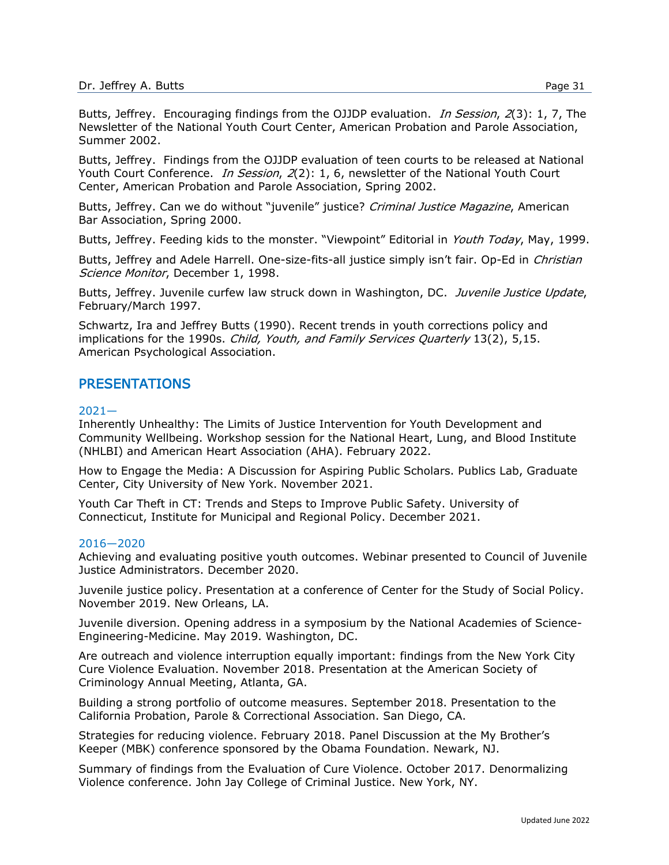Butts, Jeffrey. Encouraging findings from the OJJDP evaluation. In Session, 2(3): 1, 7, The Newsletter of the National Youth Court Center, American Probation and Parole Association, Summer 2002.

Butts, Jeffrey. Findings from the OJJDP evaluation of teen courts to be released at National Youth Court Conference. In Session, 2(2): 1, 6, newsletter of the National Youth Court Center, American Probation and Parole Association, Spring 2002.

Butts, Jeffrey. Can we do without "juvenile" justice? Criminal Justice Magazine, American Bar Association, Spring 2000.

Butts, Jeffrey. Feeding kids to the monster. "Viewpoint" Editorial in Youth Today, May, 1999.

Butts, Jeffrey and Adele Harrell. One-size-fits-all justice simply isn't fair. Op-Ed in *Christian* Science Monitor, December 1, 1998.

Butts, Jeffrey. Juvenile curfew law struck down in Washington, DC. Juvenile Justice Update, February/March 1997.

Schwartz, Ira and Jeffrey Butts (1990). Recent trends in youth corrections policy and implications for the 1990s. Child, Youth, and Family Services Quarterly 13(2), 5,15. American Psychological Association.

# PRESENTATIONS

#### 2021—

Inherently Unhealthy: The Limits of Justice Intervention for Youth Development and Community Wellbeing. Workshop session for the National Heart, Lung, and Blood Institute (NHLBI) and American Heart Association (AHA). February 2022.

How to Engage the Media: A Discussion for Aspiring Public Scholars. Publics Lab, Graduate Center, City University of New York. November 2021.

Youth Car Theft in CT: Trends and Steps to Improve Public Safety. University of Connecticut, Institute for Municipal and Regional Policy. December 2021.

#### 2016—2020

Achieving and evaluating positive youth outcomes. Webinar presented to Council of Juvenile Justice Administrators. December 2020.

Juvenile justice policy. Presentation at a conference of Center for the Study of Social Policy. November 2019. New Orleans, LA.

Juvenile diversion. Opening address in a symposium by the National Academies of Science-Engineering-Medicine. May 2019. Washington, DC.

Are outreach and violence interruption equally important: findings from the New York City Cure Violence Evaluation. November 2018. Presentation at the American Society of Criminology Annual Meeting, Atlanta, GA.

Building a strong portfolio of outcome measures. September 2018. Presentation to the California Probation, Parole & Correctional Association. San Diego, CA.

Strategies for reducing violence. February 2018. Panel Discussion at the My Brother's Keeper (MBK) conference sponsored by the Obama Foundation. Newark, NJ.

Summary of findings from the Evaluation of Cure Violence. October 2017. Denormalizing Violence conference. John Jay College of Criminal Justice. New York, NY.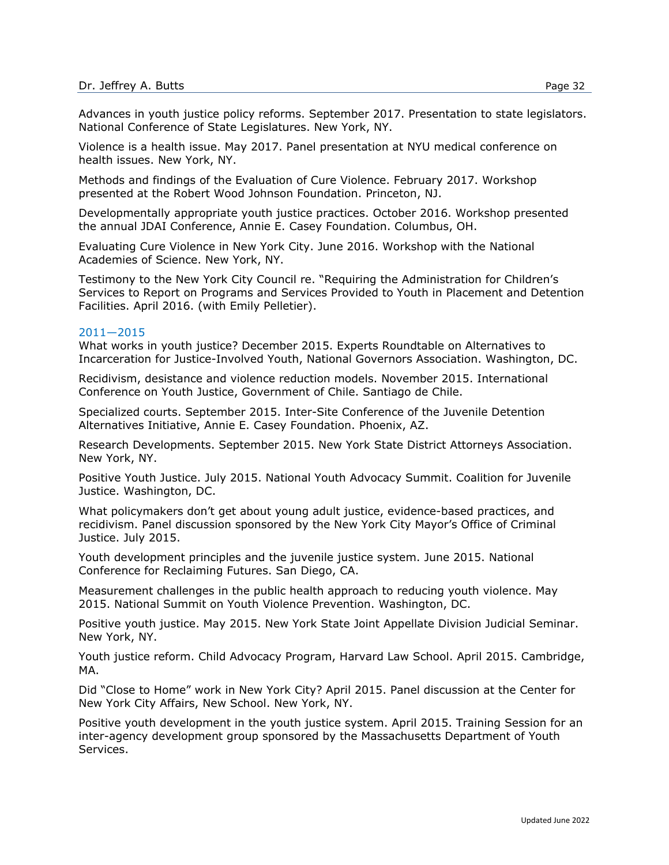Advances in youth justice policy reforms. September 2017. Presentation to state legislators. National Conference of State Legislatures. New York, NY.

Violence is a health issue. May 2017. Panel presentation at NYU medical conference on health issues. New York, NY.

Methods and findings of the Evaluation of Cure Violence. February 2017. Workshop presented at the Robert Wood Johnson Foundation. Princeton, NJ.

Developmentally appropriate youth justice practices. October 2016. Workshop presented the annual JDAI Conference, Annie E. Casey Foundation. Columbus, OH.

Evaluating Cure Violence in New York City. June 2016. Workshop with the National Academies of Science. New York, NY.

Testimony to the New York City Council re. "Requiring the Administration for Children's Services to Report on Programs and Services Provided to Youth in Placement and Detention Facilities. April 2016. (with Emily Pelletier).

#### 2011—2015

What works in youth justice? December 2015. Experts Roundtable on Alternatives to Incarceration for Justice-Involved Youth, National Governors Association. Washington, DC.

Recidivism, desistance and violence reduction models. November 2015. International Conference on Youth Justice, Government of Chile. Santiago de Chile.

Specialized courts. September 2015. Inter-Site Conference of the Juvenile Detention Alternatives Initiative, Annie E. Casey Foundation. Phoenix, AZ.

Research Developments. September 2015. New York State District Attorneys Association. New York, NY.

Positive Youth Justice. July 2015. National Youth Advocacy Summit. Coalition for Juvenile Justice. Washington, DC.

What policymakers don't get about young adult justice, evidence-based practices, and recidivism. Panel discussion sponsored by the New York City Mayor's Office of Criminal Justice. July 2015.

Youth development principles and the juvenile justice system. June 2015. National Conference for Reclaiming Futures. San Diego, CA.

Measurement challenges in the public health approach to reducing youth violence. May 2015. National Summit on Youth Violence Prevention. Washington, DC.

Positive youth justice. May 2015. New York State Joint Appellate Division Judicial Seminar. New York, NY.

Youth justice reform. Child Advocacy Program, Harvard Law School. April 2015. Cambridge, MA.

Did "Close to Home" work in New York City? April 2015. Panel discussion at the Center for New York City Affairs, New School. New York, NY.

Positive youth development in the youth justice system. April 2015. Training Session for an inter-agency development group sponsored by the Massachusetts Department of Youth Services.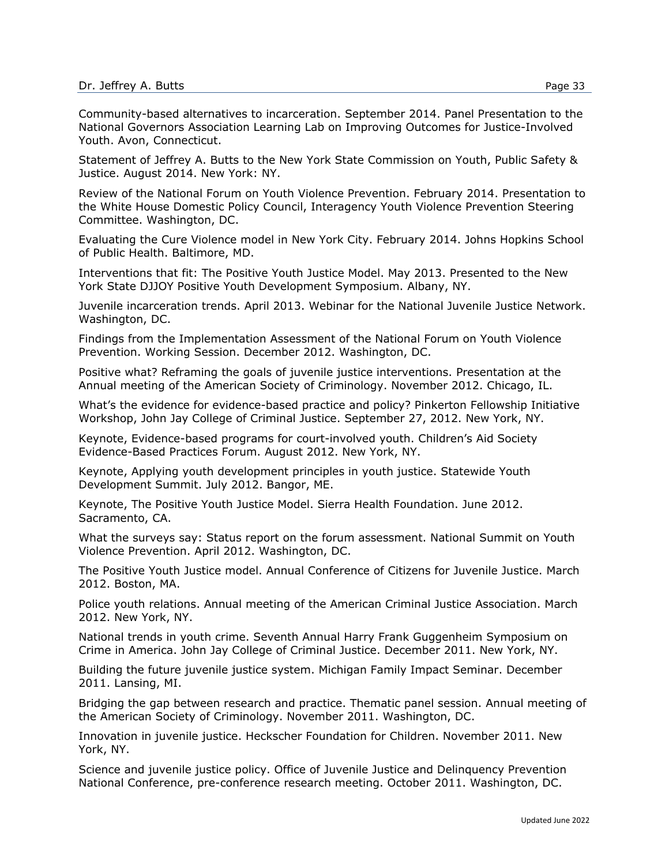Community-based alternatives to incarceration. September 2014. Panel Presentation to the National Governors Association Learning Lab on Improving Outcomes for Justice-Involved Youth. Avon, Connecticut.

Statement of Jeffrey A. Butts to the New York State Commission on Youth, Public Safety & Justice. August 2014. New York: NY.

Review of the National Forum on Youth Violence Prevention. February 2014. Presentation to the White House Domestic Policy Council, Interagency Youth Violence Prevention Steering Committee. Washington, DC.

Evaluating the Cure Violence model in New York City. February 2014. Johns Hopkins School of Public Health. Baltimore, MD.

Interventions that fit: The Positive Youth Justice Model. May 2013. Presented to the New York State DJJOY Positive Youth Development Symposium. Albany, NY.

Juvenile incarceration trends. April 2013. Webinar for the National Juvenile Justice Network. Washington, DC.

Findings from the Implementation Assessment of the National Forum on Youth Violence Prevention. Working Session. December 2012. Washington, DC.

Positive what? Reframing the goals of juvenile justice interventions. Presentation at the Annual meeting of the American Society of Criminology. November 2012. Chicago, IL.

What's the evidence for evidence-based practice and policy? Pinkerton Fellowship Initiative Workshop, John Jay College of Criminal Justice. September 27, 2012. New York, NY.

Keynote, Evidence-based programs for court-involved youth. Children's Aid Society Evidence-Based Practices Forum. August 2012. New York, NY.

Keynote, Applying youth development principles in youth justice. Statewide Youth Development Summit. July 2012. Bangor, ME.

Keynote, The Positive Youth Justice Model. Sierra Health Foundation. June 2012. Sacramento, CA.

What the surveys say: Status report on the forum assessment. National Summit on Youth Violence Prevention. April 2012. Washington, DC.

The Positive Youth Justice model. Annual Conference of Citizens for Juvenile Justice. March 2012. Boston, MA.

Police youth relations. Annual meeting of the American Criminal Justice Association. March 2012. New York, NY.

National trends in youth crime. Seventh Annual Harry Frank Guggenheim Symposium on Crime in America. John Jay College of Criminal Justice. December 2011. New York, NY.

Building the future juvenile justice system. Michigan Family Impact Seminar. December 2011. Lansing, MI.

Bridging the gap between research and practice. Thematic panel session. Annual meeting of the American Society of Criminology. November 2011. Washington, DC.

Innovation in juvenile justice. Heckscher Foundation for Children. November 2011. New York, NY.

Science and juvenile justice policy. Office of Juvenile Justice and Delinquency Prevention National Conference, pre-conference research meeting. October 2011. Washington, DC.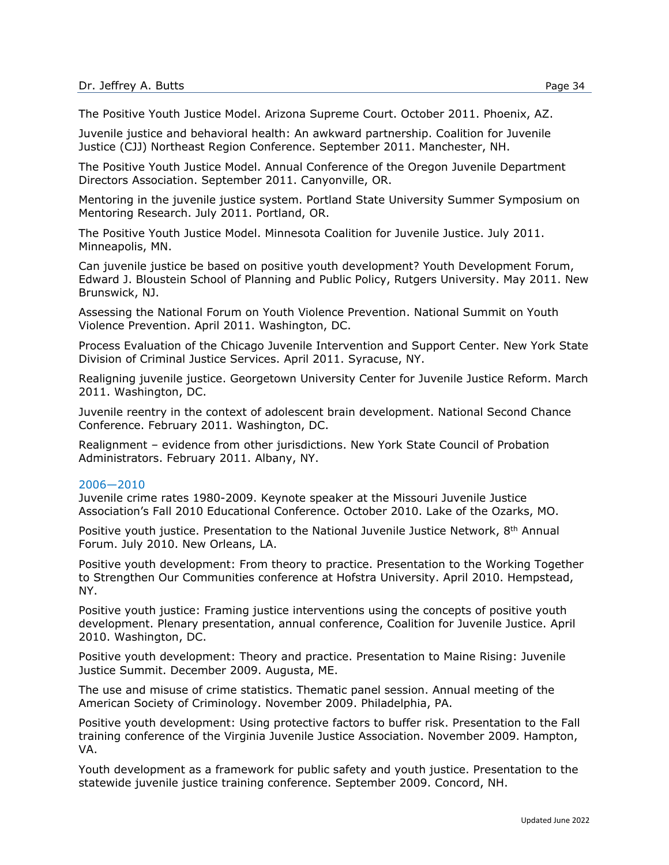The Positive Youth Justice Model. Arizona Supreme Court. October 2011. Phoenix, AZ.

Juvenile justice and behavioral health: An awkward partnership. Coalition for Juvenile Justice (CJJ) Northeast Region Conference. September 2011. Manchester, NH.

The Positive Youth Justice Model. Annual Conference of the Oregon Juvenile Department Directors Association. September 2011. Canyonville, OR.

Mentoring in the juvenile justice system. Portland State University Summer Symposium on Mentoring Research. July 2011. Portland, OR.

The Positive Youth Justice Model. Minnesota Coalition for Juvenile Justice. July 2011. Minneapolis, MN.

Can juvenile justice be based on positive youth development? Youth Development Forum, Edward J. Bloustein School of Planning and Public Policy, Rutgers University. May 2011. New Brunswick, NJ.

Assessing the National Forum on Youth Violence Prevention. National Summit on Youth Violence Prevention. April 2011. Washington, DC.

Process Evaluation of the Chicago Juvenile Intervention and Support Center. New York State Division of Criminal Justice Services. April 2011. Syracuse, NY.

Realigning juvenile justice. Georgetown University Center for Juvenile Justice Reform. March 2011. Washington, DC.

Juvenile reentry in the context of adolescent brain development. National Second Chance Conference. February 2011. Washington, DC.

Realignment – evidence from other jurisdictions. New York State Council of Probation Administrators. February 2011. Albany, NY.

#### 2006—2010

Juvenile crime rates 1980-2009. Keynote speaker at the Missouri Juvenile Justice Association's Fall 2010 Educational Conference. October 2010. Lake of the Ozarks, MO.

Positive youth justice. Presentation to the National Juvenile Justice Network, 8<sup>th</sup> Annual Forum. July 2010. New Orleans, LA.

Positive youth development: From theory to practice. Presentation to the Working Together to Strengthen Our Communities conference at Hofstra University. April 2010. Hempstead, NY.

Positive youth justice: Framing justice interventions using the concepts of positive youth development. Plenary presentation, annual conference, Coalition for Juvenile Justice. April 2010. Washington, DC.

Positive youth development: Theory and practice. Presentation to Maine Rising: Juvenile Justice Summit. December 2009. Augusta, ME.

The use and misuse of crime statistics. Thematic panel session. Annual meeting of the American Society of Criminology. November 2009. Philadelphia, PA.

Positive youth development: Using protective factors to buffer risk. Presentation to the Fall training conference of the Virginia Juvenile Justice Association. November 2009. Hampton, VA.

Youth development as a framework for public safety and youth justice. Presentation to the statewide juvenile justice training conference. September 2009. Concord, NH.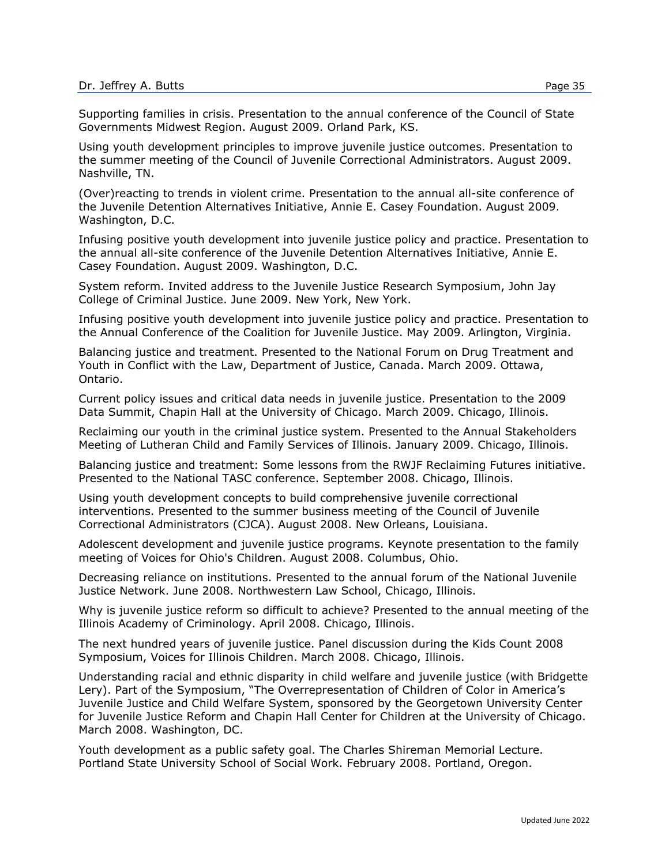Supporting families in crisis. Presentation to the annual conference of the Council of State Governments Midwest Region. August 2009. Orland Park, KS.

Using youth development principles to improve juvenile justice outcomes. Presentation to the summer meeting of the Council of Juvenile Correctional Administrators. August 2009. Nashville, TN.

(Over)reacting to trends in violent crime. Presentation to the annual all-site conference of the Juvenile Detention Alternatives Initiative, Annie E. Casey Foundation. August 2009. Washington, D.C.

Infusing positive youth development into juvenile justice policy and practice. Presentation to the annual all-site conference of the Juvenile Detention Alternatives Initiative, Annie E. Casey Foundation. August 2009. Washington, D.C.

System reform. Invited address to the Juvenile Justice Research Symposium, John Jay College of Criminal Justice. June 2009. New York, New York.

Infusing positive youth development into juvenile justice policy and practice. Presentation to the Annual Conference of the Coalition for Juvenile Justice. May 2009. Arlington, Virginia.

Balancing justice and treatment. Presented to the National Forum on Drug Treatment and Youth in Conflict with the Law, Department of Justice, Canada. March 2009. Ottawa, Ontario.

Current policy issues and critical data needs in juvenile justice. Presentation to the 2009 Data Summit, Chapin Hall at the University of Chicago. March 2009. Chicago, Illinois.

Reclaiming our youth in the criminal justice system. Presented to the Annual Stakeholders Meeting of Lutheran Child and Family Services of Illinois. January 2009. Chicago, Illinois.

Balancing justice and treatment: Some lessons from the RWJF Reclaiming Futures initiative. Presented to the National TASC conference. September 2008. Chicago, Illinois.

Using youth development concepts to build comprehensive juvenile correctional interventions. Presented to the summer business meeting of the Council of Juvenile Correctional Administrators (CJCA). August 2008. New Orleans, Louisiana.

Adolescent development and juvenile justice programs. Keynote presentation to the family meeting of Voices for Ohio's Children. August 2008. Columbus, Ohio.

Decreasing reliance on institutions. Presented to the annual forum of the National Juvenile Justice Network. June 2008. Northwestern Law School, Chicago, Illinois.

Why is juvenile justice reform so difficult to achieve? Presented to the annual meeting of the Illinois Academy of Criminology. April 2008. Chicago, Illinois.

The next hundred years of juvenile justice. Panel discussion during the Kids Count 2008 Symposium, Voices for Illinois Children. March 2008. Chicago, Illinois.

Understanding racial and ethnic disparity in child welfare and juvenile justice (with Bridgette Lery). Part of the Symposium, "The Overrepresentation of Children of Color in America's Juvenile Justice and Child Welfare System, sponsored by the Georgetown University Center for Juvenile Justice Reform and Chapin Hall Center for Children at the University of Chicago. March 2008. Washington, DC.

Youth development as a public safety goal. The Charles Shireman Memorial Lecture. Portland State University School of Social Work. February 2008. Portland, Oregon.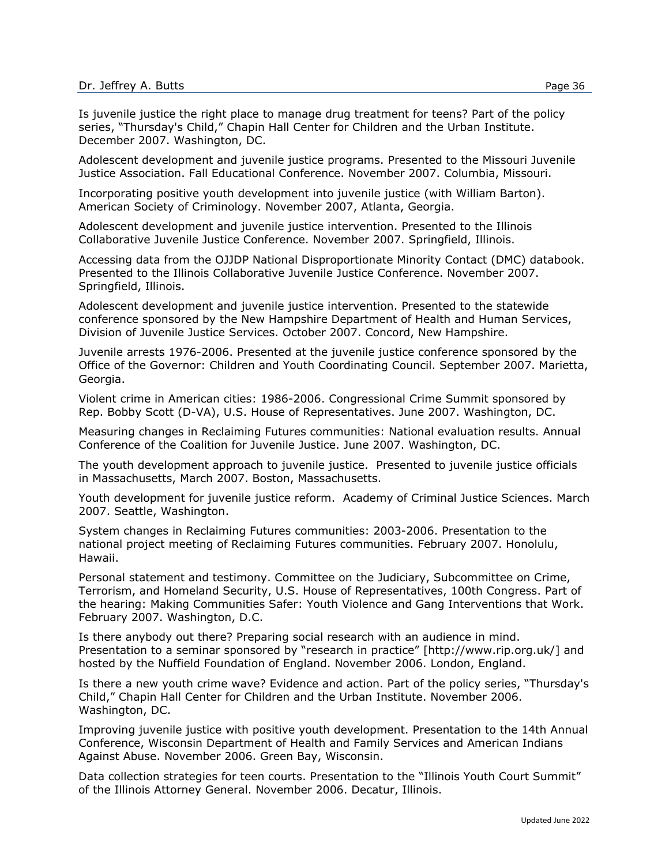Adolescent development and juvenile justice programs. Presented to the Missouri Juvenile Justice Association. Fall Educational Conference. November 2007. Columbia, Missouri.

Incorporating positive youth development into juvenile justice (with William Barton). American Society of Criminology. November 2007, Atlanta, Georgia.

Adolescent development and juvenile justice intervention. Presented to the Illinois Collaborative Juvenile Justice Conference. November 2007. Springfield, Illinois.

Accessing data from the OJJDP National Disproportionate Minority Contact (DMC) databook. Presented to the Illinois Collaborative Juvenile Justice Conference. November 2007. Springfield, Illinois.

Adolescent development and juvenile justice intervention. Presented to the statewide conference sponsored by the New Hampshire Department of Health and Human Services, Division of Juvenile Justice Services. October 2007. Concord, New Hampshire.

Juvenile arrests 1976-2006. Presented at the juvenile justice conference sponsored by the Office of the Governor: Children and Youth Coordinating Council. September 2007. Marietta, Georgia.

Violent crime in American cities: 1986-2006. Congressional Crime Summit sponsored by Rep. Bobby Scott (D-VA), U.S. House of Representatives. June 2007. Washington, DC.

Measuring changes in Reclaiming Futures communities: National evaluation results. Annual Conference of the Coalition for Juvenile Justice. June 2007. Washington, DC.

The youth development approach to juvenile justice. Presented to juvenile justice officials in Massachusetts, March 2007. Boston, Massachusetts.

Youth development for juvenile justice reform. Academy of Criminal Justice Sciences. March 2007. Seattle, Washington.

System changes in Reclaiming Futures communities: 2003-2006. Presentation to the national project meeting of Reclaiming Futures communities. February 2007. Honolulu, Hawaii.

Personal statement and testimony. Committee on the Judiciary, Subcommittee on Crime, Terrorism, and Homeland Security, U.S. House of Representatives, 100th Congress. Part of the hearing: Making Communities Safer: Youth Violence and Gang Interventions that Work. February 2007. Washington, D.C.

Is there anybody out there? Preparing social research with an audience in mind. Presentation to a seminar sponsored by "research in practice" [http://www.rip.org.uk/] and hosted by the Nuffield Foundation of England. November 2006. London, England.

Is there a new youth crime wave? Evidence and action. Part of the policy series, "Thursday's Child," Chapin Hall Center for Children and the Urban Institute. November 2006. Washington, DC.

Improving juvenile justice with positive youth development. Presentation to the 14th Annual Conference, Wisconsin Department of Health and Family Services and American Indians Against Abuse. November 2006. Green Bay, Wisconsin.

Data collection strategies for teen courts. Presentation to the "Illinois Youth Court Summit" of the Illinois Attorney General. November 2006. Decatur, Illinois.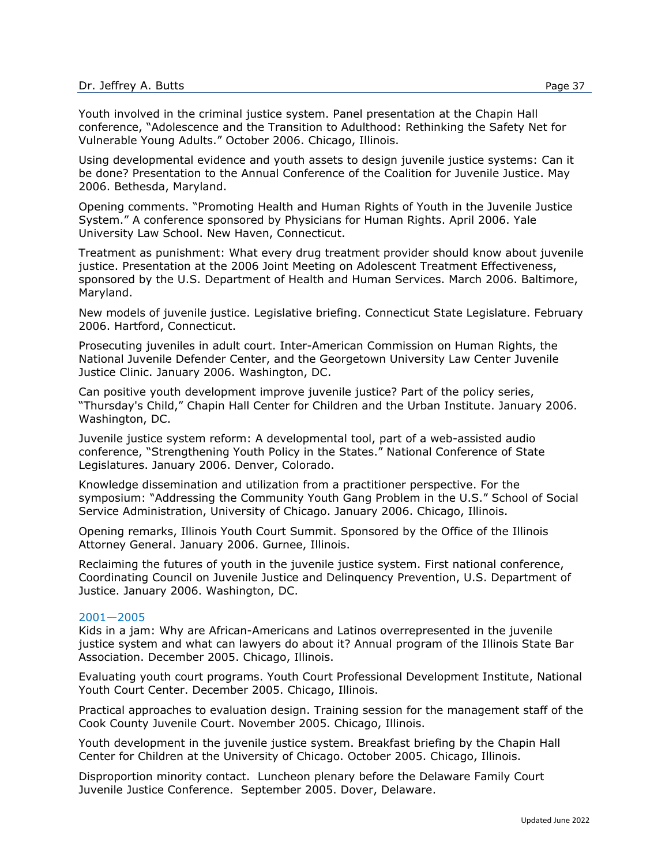Youth involved in the criminal justice system. Panel presentation at the Chapin Hall conference, "Adolescence and the Transition to Adulthood: Rethinking the Safety Net for Vulnerable Young Adults." October 2006. Chicago, Illinois.

Using developmental evidence and youth assets to design juvenile justice systems: Can it be done? Presentation to the Annual Conference of the Coalition for Juvenile Justice. May 2006. Bethesda, Maryland.

Opening comments. "Promoting Health and Human Rights of Youth in the Juvenile Justice System." A conference sponsored by Physicians for Human Rights. April 2006. Yale University Law School. New Haven, Connecticut.

Treatment as punishment: What every drug treatment provider should know about juvenile justice. Presentation at the 2006 Joint Meeting on Adolescent Treatment Effectiveness, sponsored by the U.S. Department of Health and Human Services. March 2006. Baltimore, Maryland.

New models of juvenile justice. Legislative briefing. Connecticut State Legislature. February 2006. Hartford, Connecticut.

Prosecuting juveniles in adult court. Inter-American Commission on Human Rights, the National Juvenile Defender Center, and the Georgetown University Law Center Juvenile Justice Clinic. January 2006. Washington, DC.

Can positive youth development improve juvenile justice? Part of the policy series, "Thursday's Child," Chapin Hall Center for Children and the Urban Institute. January 2006. Washington, DC.

Juvenile justice system reform: A developmental tool, part of a web-assisted audio conference, "Strengthening Youth Policy in the States." National Conference of State Legislatures. January 2006. Denver, Colorado.

Knowledge dissemination and utilization from a practitioner perspective. For the symposium: "Addressing the Community Youth Gang Problem in the U.S." School of Social Service Administration, University of Chicago. January 2006. Chicago, Illinois.

Opening remarks, Illinois Youth Court Summit. Sponsored by the Office of the Illinois Attorney General. January 2006. Gurnee, Illinois.

Reclaiming the futures of youth in the juvenile justice system. First national conference, Coordinating Council on Juvenile Justice and Delinquency Prevention, U.S. Department of Justice. January 2006. Washington, DC.

#### 2001—2005

Kids in a jam: Why are African-Americans and Latinos overrepresented in the juvenile justice system and what can lawyers do about it? Annual program of the Illinois State Bar Association. December 2005. Chicago, Illinois.

Evaluating youth court programs. Youth Court Professional Development Institute, National Youth Court Center. December 2005. Chicago, Illinois.

Practical approaches to evaluation design. Training session for the management staff of the Cook County Juvenile Court. November 2005. Chicago, Illinois.

Youth development in the juvenile justice system. Breakfast briefing by the Chapin Hall Center for Children at the University of Chicago. October 2005. Chicago, Illinois.

Disproportion minority contact. Luncheon plenary before the Delaware Family Court Juvenile Justice Conference. September 2005. Dover, Delaware.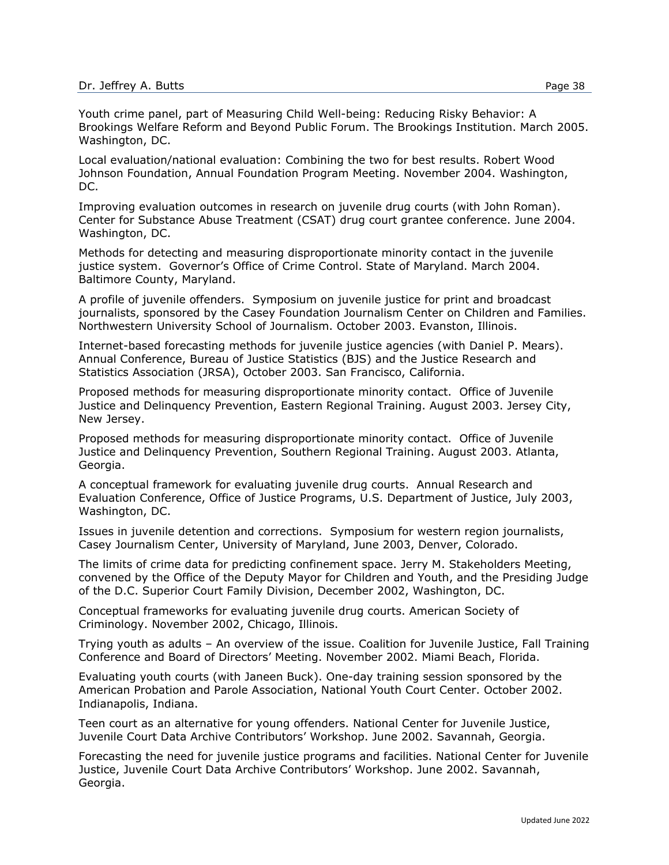Local evaluation/national evaluation: Combining the two for best results. Robert Wood Johnson Foundation, Annual Foundation Program Meeting. November 2004. Washington, DC.

Improving evaluation outcomes in research on juvenile drug courts (with John Roman). Center for Substance Abuse Treatment (CSAT) drug court grantee conference. June 2004. Washington, DC.

Methods for detecting and measuring disproportionate minority contact in the juvenile justice system. Governor's Office of Crime Control. State of Maryland. March 2004. Baltimore County, Maryland.

A profile of juvenile offenders. Symposium on juvenile justice for print and broadcast journalists, sponsored by the Casey Foundation Journalism Center on Children and Families. Northwestern University School of Journalism. October 2003. Evanston, Illinois.

Internet-based forecasting methods for juvenile justice agencies (with Daniel P. Mears). Annual Conference, Bureau of Justice Statistics (BJS) and the Justice Research and Statistics Association (JRSA), October 2003. San Francisco, California.

Proposed methods for measuring disproportionate minority contact. Office of Juvenile Justice and Delinquency Prevention, Eastern Regional Training. August 2003. Jersey City, New Jersey.

Proposed methods for measuring disproportionate minority contact. Office of Juvenile Justice and Delinquency Prevention, Southern Regional Training. August 2003. Atlanta, Georgia.

A conceptual framework for evaluating juvenile drug courts. Annual Research and Evaluation Conference, Office of Justice Programs, U.S. Department of Justice, July 2003, Washington, DC.

Issues in juvenile detention and corrections. Symposium for western region journalists, Casey Journalism Center, University of Maryland, June 2003, Denver, Colorado.

The limits of crime data for predicting confinement space. Jerry M. Stakeholders Meeting, convened by the Office of the Deputy Mayor for Children and Youth, and the Presiding Judge of the D.C. Superior Court Family Division, December 2002, Washington, DC.

Conceptual frameworks for evaluating juvenile drug courts. American Society of Criminology. November 2002, Chicago, Illinois.

Trying youth as adults – An overview of the issue. Coalition for Juvenile Justice, Fall Training Conference and Board of Directors' Meeting. November 2002. Miami Beach, Florida.

Evaluating youth courts (with Janeen Buck). One-day training session sponsored by the American Probation and Parole Association, National Youth Court Center. October 2002. Indianapolis, Indiana.

Teen court as an alternative for young offenders. National Center for Juvenile Justice, Juvenile Court Data Archive Contributors' Workshop. June 2002. Savannah, Georgia.

Forecasting the need for juvenile justice programs and facilities. National Center for Juvenile Justice, Juvenile Court Data Archive Contributors' Workshop. June 2002. Savannah, Georgia.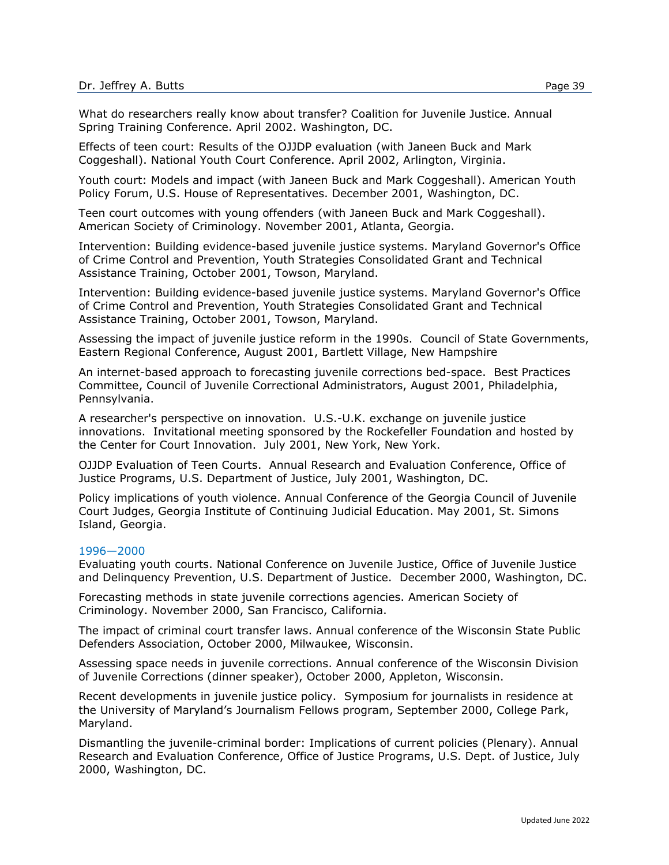Effects of teen court: Results of the OJJDP evaluation (with Janeen Buck and Mark Coggeshall). National Youth Court Conference. April 2002, Arlington, Virginia.

Youth court: Models and impact (with Janeen Buck and Mark Coggeshall). American Youth Policy Forum, U.S. House of Representatives. December 2001, Washington, DC.

Teen court outcomes with young offenders (with Janeen Buck and Mark Coggeshall). American Society of Criminology. November 2001, Atlanta, Georgia.

Intervention: Building evidence-based juvenile justice systems. Maryland Governor's Office of Crime Control and Prevention, Youth Strategies Consolidated Grant and Technical Assistance Training, October 2001, Towson, Maryland.

Intervention: Building evidence-based juvenile justice systems. Maryland Governor's Office of Crime Control and Prevention, Youth Strategies Consolidated Grant and Technical Assistance Training, October 2001, Towson, Maryland.

Assessing the impact of juvenile justice reform in the 1990s. Council of State Governments, Eastern Regional Conference, August 2001, Bartlett Village, New Hampshire

An internet-based approach to forecasting juvenile corrections bed-space. Best Practices Committee, Council of Juvenile Correctional Administrators, August 2001, Philadelphia, Pennsylvania.

A researcher's perspective on innovation. U.S.-U.K. exchange on juvenile justice innovations. Invitational meeting sponsored by the Rockefeller Foundation and hosted by the Center for Court Innovation. July 2001, New York, New York.

OJJDP Evaluation of Teen Courts. Annual Research and Evaluation Conference, Office of Justice Programs, U.S. Department of Justice, July 2001, Washington, DC.

Policy implications of youth violence. Annual Conference of the Georgia Council of Juvenile Court Judges, Georgia Institute of Continuing Judicial Education. May 2001, St. Simons Island, Georgia.

#### 1996—2000

Evaluating youth courts. National Conference on Juvenile Justice, Office of Juvenile Justice and Delinquency Prevention, U.S. Department of Justice. December 2000, Washington, DC.

Forecasting methods in state juvenile corrections agencies. American Society of Criminology. November 2000, San Francisco, California.

The impact of criminal court transfer laws. Annual conference of the Wisconsin State Public Defenders Association, October 2000, Milwaukee, Wisconsin.

Assessing space needs in juvenile corrections. Annual conference of the Wisconsin Division of Juvenile Corrections (dinner speaker), October 2000, Appleton, Wisconsin.

Recent developments in juvenile justice policy. Symposium for journalists in residence at the University of Maryland's Journalism Fellows program, September 2000, College Park, Maryland.

Dismantling the juvenile-criminal border: Implications of current policies (Plenary). Annual Research and Evaluation Conference, Office of Justice Programs, U.S. Dept. of Justice, July 2000, Washington, DC.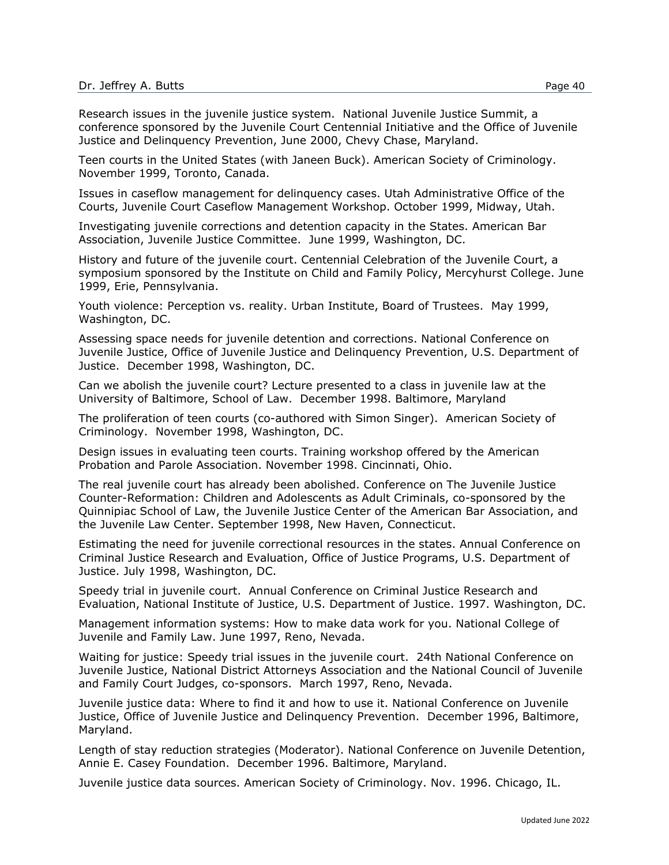Teen courts in the United States (with Janeen Buck). American Society of Criminology. November 1999, Toronto, Canada.

Issues in caseflow management for delinquency cases. Utah Administrative Office of the Courts, Juvenile Court Caseflow Management Workshop. October 1999, Midway, Utah.

Investigating juvenile corrections and detention capacity in the States. American Bar Association, Juvenile Justice Committee. June 1999, Washington, DC.

History and future of the juvenile court. Centennial Celebration of the Juvenile Court, a symposium sponsored by the Institute on Child and Family Policy, Mercyhurst College. June 1999, Erie, Pennsylvania.

Youth violence: Perception vs. reality. Urban Institute, Board of Trustees. May 1999, Washington, DC.

Assessing space needs for juvenile detention and corrections. National Conference on Juvenile Justice, Office of Juvenile Justice and Delinquency Prevention, U.S. Department of Justice. December 1998, Washington, DC.

Can we abolish the juvenile court? Lecture presented to a class in juvenile law at the University of Baltimore, School of Law. December 1998. Baltimore, Maryland

The proliferation of teen courts (co-authored with Simon Singer). American Society of Criminology. November 1998, Washington, DC.

Design issues in evaluating teen courts. Training workshop offered by the American Probation and Parole Association. November 1998. Cincinnati, Ohio.

The real juvenile court has already been abolished. Conference on The Juvenile Justice Counter-Reformation: Children and Adolescents as Adult Criminals, co-sponsored by the Quinnipiac School of Law, the Juvenile Justice Center of the American Bar Association, and the Juvenile Law Center. September 1998, New Haven, Connecticut.

Estimating the need for juvenile correctional resources in the states. Annual Conference on Criminal Justice Research and Evaluation, Office of Justice Programs, U.S. Department of Justice. July 1998, Washington, DC.

Speedy trial in juvenile court. Annual Conference on Criminal Justice Research and Evaluation, National Institute of Justice, U.S. Department of Justice. 1997. Washington, DC.

Management information systems: How to make data work for you. National College of Juvenile and Family Law. June 1997, Reno, Nevada.

Waiting for justice: Speedy trial issues in the juvenile court. 24th National Conference on Juvenile Justice, National District Attorneys Association and the National Council of Juvenile and Family Court Judges, co-sponsors. March 1997, Reno, Nevada.

Juvenile justice data: Where to find it and how to use it. National Conference on Juvenile Justice, Office of Juvenile Justice and Delinquency Prevention. December 1996, Baltimore, Maryland.

Length of stay reduction strategies (Moderator). National Conference on Juvenile Detention, Annie E. Casey Foundation. December 1996. Baltimore, Maryland.

Juvenile justice data sources. American Society of Criminology. Nov. 1996. Chicago, IL.